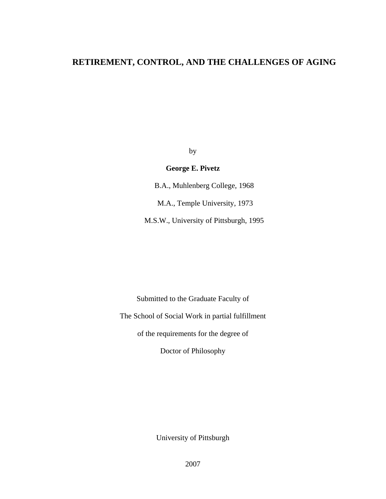# **RETIREMENT, CONTROL, AND THE CHALLENGES OF AGING**

by

## **George E. Pivetz**

B.A., Muhlenberg College, 1968 M.A., Temple University, 1973

M.S.W., University of Pittsburgh, 1995

Submitted to the Graduate Faculty of

The School of Social Work in partial fulfillment

of the requirements for the degree of

Doctor of Philosophy

University of Pittsburgh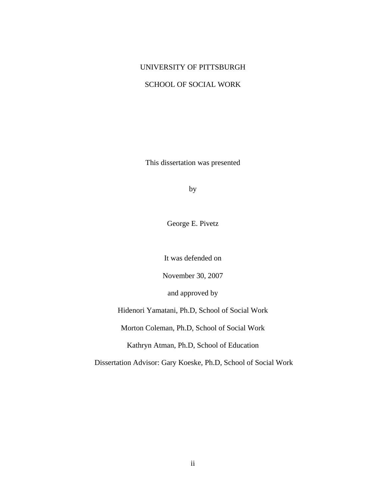### UNIVERSITY OF PITTSBURGH

# SCHOOL OF SOCIAL WORK

This dissertation was presented

by

George E. Pivetz

It was defended on

November 30, 2007

and approved by

Hidenori Yamatani, Ph.D, School of Social Work

Morton Coleman, Ph.D, School of Social Work

Kathryn Atman, Ph.D, School of Education

Dissertation Advisor: Gary Koeske, Ph.D, School of Social Work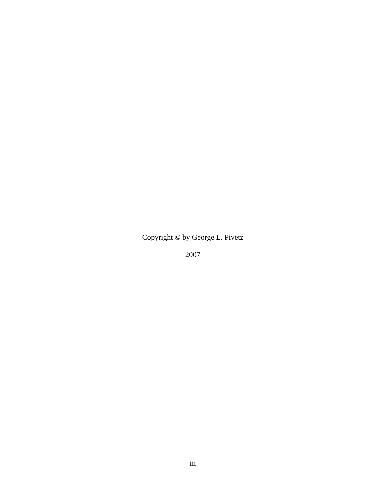Copyright © by George E. Pivetz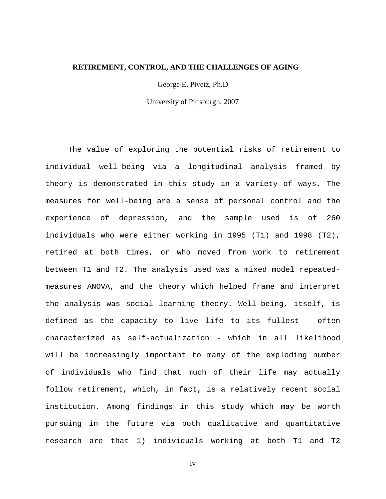#### **RETIREMENT, CONTROL, AND THE CHALLENGES OF AGING**

George E. Pivetz, Ph.D

University of Pittsburgh, 2007

The value of exploring the potential risks of retirement to individual well-being via a longitudinal analysis framed by theory is demonstrated in this study in a variety of ways. The measures for well-being are a sense of personal control and the experience of depression, and the sample used is of 260 individuals who were either working in 1995 (T1) and 1998 (T2), retired at both times, or who moved from work to retirement between T1 and T2. The analysis used was a mixed model repeatedmeasures ANOVA, and the theory which helped frame and interpret the analysis was social learning theory. Well-being, itself, is defined as the capacity to live life to its fullest – often characterized as self-actualization - which in all likelihood will be increasingly important to many of the exploding number of individuals who find that much of their life may actually follow retirement, which, in fact, is a relatively recent social institution. Among findings in this study which may be worth pursuing in the future via both qualitative and quantitative research are that 1) individuals working at both T1 and T2

iv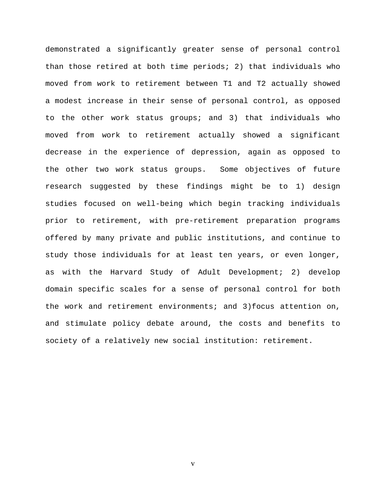demonstrated a significantly greater sense of personal control than those retired at both time periods; 2) that individuals who moved from work to retirement between T1 and T2 actually showed a modest increase in their sense of personal control, as opposed to the other work status groups; and 3) that individuals who moved from work to retirement actually showed a significant decrease in the experience of depression, again as opposed to the other two work status groups. Some objectives of future research suggested by these findings might be to 1) design studies focused on well-being which begin tracking individuals prior to retirement, with pre-retirement preparation programs offered by many private and public institutions, and continue to study those individuals for at least ten years, or even longer, as with the Harvard Study of Adult Development; 2) develop domain specific scales for a sense of personal control for both the work and retirement environments; and 3)focus attention on, and stimulate policy debate around, the costs and benefits to society of a relatively new social institution: retirement.

v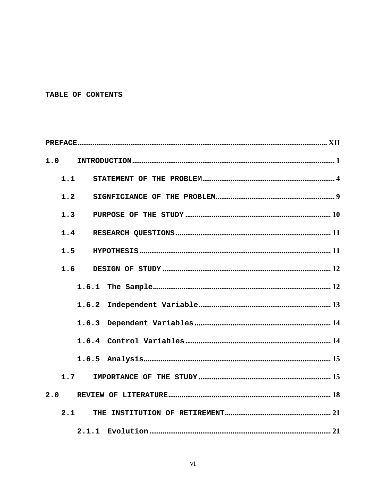# TABLE OF CONTENTS

| 1.0 |     |       |  |  |  |  |  |  |
|-----|-----|-------|--|--|--|--|--|--|
|     | 1.1 |       |  |  |  |  |  |  |
|     | 1.2 |       |  |  |  |  |  |  |
|     | 1.3 |       |  |  |  |  |  |  |
|     | 1.4 |       |  |  |  |  |  |  |
| 1.5 |     |       |  |  |  |  |  |  |
|     | 1.6 |       |  |  |  |  |  |  |
|     |     |       |  |  |  |  |  |  |
|     |     | 1.6.2 |  |  |  |  |  |  |
|     |     | 1.6.3 |  |  |  |  |  |  |
|     |     |       |  |  |  |  |  |  |
|     |     |       |  |  |  |  |  |  |
|     | 1.7 |       |  |  |  |  |  |  |
| 2.0 |     |       |  |  |  |  |  |  |
|     | 2.1 |       |  |  |  |  |  |  |
|     |     |       |  |  |  |  |  |  |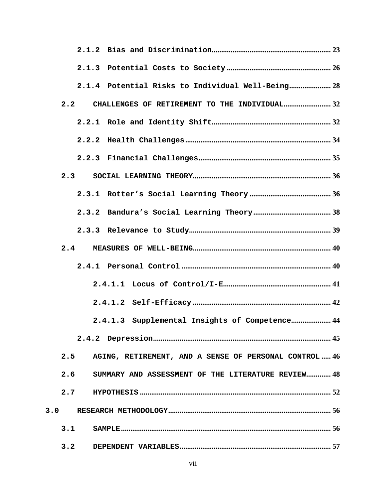|     |     | 2.1.4 Potential Risks to Individual Well-Being 28 |                                                        |  |
|-----|-----|---------------------------------------------------|--------------------------------------------------------|--|
|     | 2.2 |                                                   | CHALLENGES OF RETIREMENT TO THE INDIVIDUAL32           |  |
|     |     |                                                   |                                                        |  |
|     |     |                                                   |                                                        |  |
|     |     |                                                   |                                                        |  |
|     | 2.3 |                                                   |                                                        |  |
|     |     |                                                   |                                                        |  |
|     |     |                                                   |                                                        |  |
|     |     |                                                   |                                                        |  |
|     | 2.4 |                                                   |                                                        |  |
|     |     |                                                   |                                                        |  |
|     |     |                                                   |                                                        |  |
|     |     |                                                   |                                                        |  |
|     |     |                                                   | 2.4.1.3 Supplemental Insights of Competence 44         |  |
|     |     |                                                   |                                                        |  |
|     | 2.5 |                                                   | AGING, RETIREMENT, AND A SENSE OF PERSONAL CONTROL  46 |  |
|     | 2.6 |                                                   | SUMMARY AND ASSESSMENT OF THE LITERATURE REVIEW 48     |  |
|     | 2.7 |                                                   |                                                        |  |
| 3.0 |     |                                                   |                                                        |  |
|     | 3.1 |                                                   |                                                        |  |
|     | 3.2 |                                                   |                                                        |  |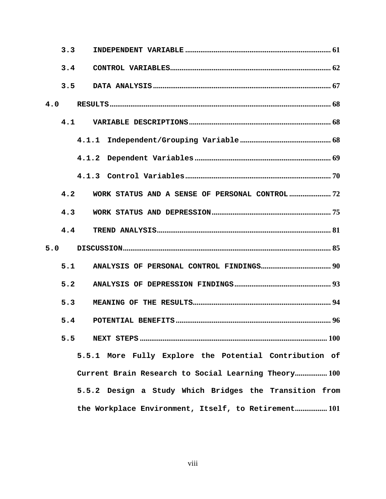| 3.3                                                    |  |  |  |  |  |  |  |  |
|--------------------------------------------------------|--|--|--|--|--|--|--|--|
| 3.4                                                    |  |  |  |  |  |  |  |  |
| 3.5                                                    |  |  |  |  |  |  |  |  |
| 4.0                                                    |  |  |  |  |  |  |  |  |
| 4.1                                                    |  |  |  |  |  |  |  |  |
|                                                        |  |  |  |  |  |  |  |  |
|                                                        |  |  |  |  |  |  |  |  |
|                                                        |  |  |  |  |  |  |  |  |
| 4.2<br>WORK STATUS AND A SENSE OF PERSONAL CONTROL?    |  |  |  |  |  |  |  |  |
| 4.3                                                    |  |  |  |  |  |  |  |  |
| 4.4                                                    |  |  |  |  |  |  |  |  |
| 5.0                                                    |  |  |  |  |  |  |  |  |
| 5.1                                                    |  |  |  |  |  |  |  |  |
| 5.2                                                    |  |  |  |  |  |  |  |  |
| 5.3                                                    |  |  |  |  |  |  |  |  |
| 5.4                                                    |  |  |  |  |  |  |  |  |
| 5.5                                                    |  |  |  |  |  |  |  |  |
| 5.5.1 More Fully Explore the Potential Contribution of |  |  |  |  |  |  |  |  |
| Current Brain Research to Social Learning Theory 100   |  |  |  |  |  |  |  |  |
| 5.5.2 Design a Study Which Bridges the Transition from |  |  |  |  |  |  |  |  |
| the Workplace Environment, Itself, to Retirement 101   |  |  |  |  |  |  |  |  |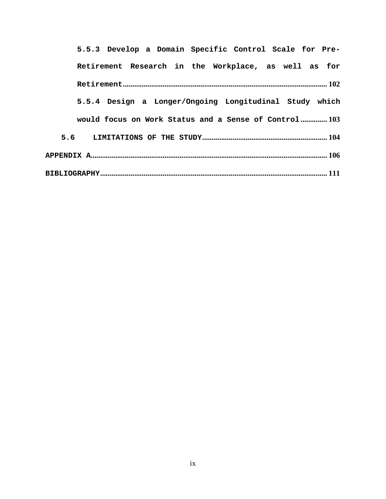| 5.5.3 Develop a Domain Specific Control Scale for Pre- |  |  |  |  |  |  |  |  |
|--------------------------------------------------------|--|--|--|--|--|--|--|--|
| Retirement Research in the Workplace, as well as for   |  |  |  |  |  |  |  |  |
|                                                        |  |  |  |  |  |  |  |  |
| 5.5.4 Design a Longer/Ongoing Longitudinal Study which |  |  |  |  |  |  |  |  |
| would focus on Work Status and a Sense of Control 103  |  |  |  |  |  |  |  |  |
|                                                        |  |  |  |  |  |  |  |  |
|                                                        |  |  |  |  |  |  |  |  |
|                                                        |  |  |  |  |  |  |  |  |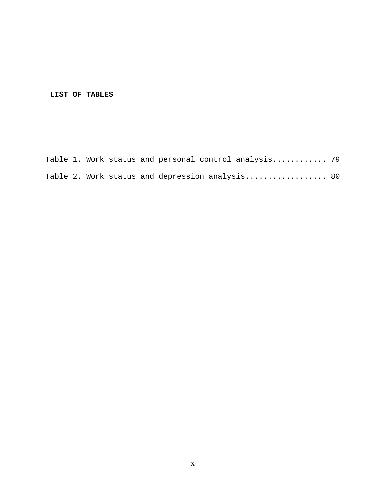# **LIST OF TABLES**

|  |  |  | Table 1. Work status and personal control analysis 79 |  |
|--|--|--|-------------------------------------------------------|--|
|  |  |  | Table 2. Work status and depression analysis 80       |  |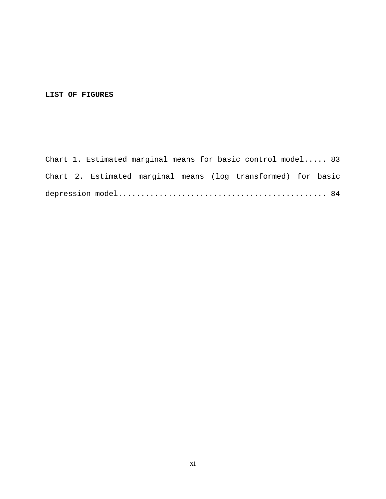### **LIST OF FIGURES**

Chart 1. Estimated marginal means for basic control model..... 83 Chart 2. Estimated marginal means (log transformed) for basic depression model.............................................. 84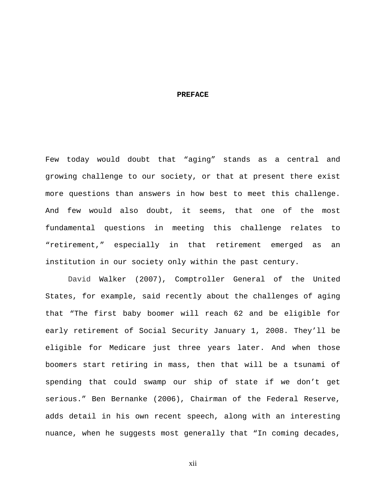#### **PREFACE**

<span id="page-11-0"></span>Few today would doubt that "aging" stands as a central and growing challenge to our society, or that at present there exist more questions than answers in how best to meet this challenge. And few would also doubt, it seems, that one of the most fundamental questions in meeting this challenge relates to "retirement," especially in that retirement emerged as an institution in our society only within the past century.

David Walker (2007), Comptroller General of the United States, for example, said recently about the challenges of aging that "The first baby boomer will reach 62 and be eligible for early retirement of Social Security January 1, 2008. They'll be eligible for Medicare just three years later. And when those boomers start retiring in mass, then that will be a tsunami of spending that could swamp our ship of state if we don't get serious." Ben Bernanke (2006), Chairman of the Federal Reserve, adds detail in his own recent speech, along with an interesting nuance, when he suggests most generally that "In coming decades,

xii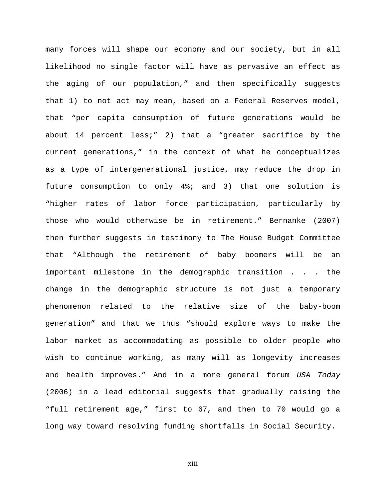many forces will shape our economy and our society, but in all likelihood no single factor will have as pervasive an effect as the aging of our population," and then specifically suggests that 1) to not act may mean, based on a Federal Reserves model, that "per capita consumption of future generations would be about 14 percent less;" 2) that a "greater sacrifice by the current generations," in the context of what he conceptualizes as a type of intergenerational justice, may reduce the drop in future consumption to only 4%; and 3) that one solution is "higher rates of labor force participation, particularly by those who would otherwise be in retirement." Bernanke (2007) then further suggests in testimony to The House Budget Committee that "Although the retirement of baby boomers will be an important milestone in the demographic transition . . . the change in the demographic structure is not just a temporary phenomenon related to the relative size of the baby-boom generation" and that we thus "should explore ways to make the labor market as accommodating as possible to older people who wish to continue working, as many will as longevity increases and health improves." And in a more general forum *USA Today* (2006) in a lead editorial suggests that gradually raising the "full retirement age," first to 67, and then to 70 would go a long way toward resolving funding shortfalls in Social Security.

xiii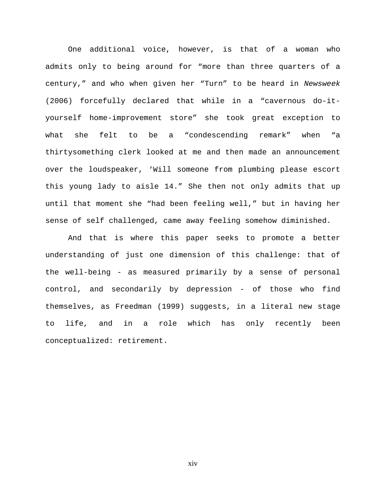One additional voice, however, is that of a woman who admits only to being around for "more than three quarters of a century," and who when given her "Turn" to be heard in *Newsweek* (2006) forcefully declared that while in a "cavernous do-ityourself home-improvement store" she took great exception to what she felt to be a "condescending remark" when "a thirtysomething clerk looked at me and then made an announcement over the loudspeaker, 'Will someone from plumbing please escort this young lady to aisle 14." She then not only admits that up until that moment she "had been feeling well," but in having her sense of self challenged, came away feeling somehow diminished.

And that is where this paper seeks to promote a better understanding of just one dimension of this challenge: that of the well-being - as measured primarily by a sense of personal control, and secondarily by depression - of those who find themselves, as Freedman (1999) suggests, in a literal new stage to life, and in a role which has only recently been conceptualized: retirement.

xiv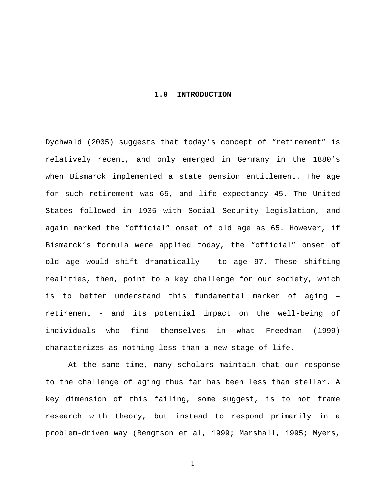#### **1.0 INTRODUCTION**

<span id="page-14-0"></span>Dychwald (2005) suggests that today's concept of "retirement" is relatively recent, and only emerged in Germany in the 1880's when Bismarck implemented a state pension entitlement. The age for such retirement was 65, and life expectancy 45. The United States followed in 1935 with Social Security legislation, and again marked the "official" onset of old age as 65. However, if Bismarck's formula were applied today, the "official" onset of old age would shift dramatically – to age 97. These shifting realities, then, point to a key challenge for our society, which is to better understand this fundamental marker of aging – retirement - and its potential impact on the well-being of individuals who find themselves in what Freedman (1999) characterizes as nothing less than a new stage of life.

At the same time, many scholars maintain that our response to the challenge of aging thus far has been less than stellar. A key dimension of this failing, some suggest, is to not frame research with theory, but instead to respond primarily in a problem-driven way (Bengtson et al, 1999; Marshall, 1995; Myers,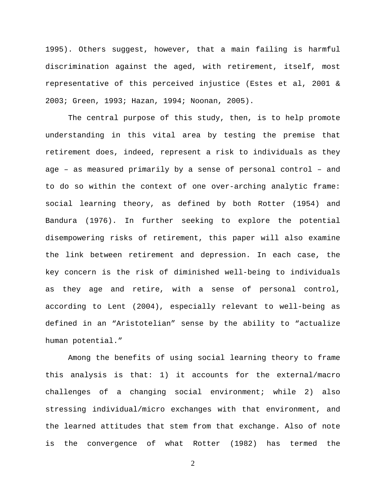1995). Others suggest, however, that a main failing is harmful discrimination against the aged, with retirement, itself, most representative of this perceived injustice (Estes et al, 2001 & 2003; Green, 1993; Hazan, 1994; Noonan, 2005).

The central purpose of this study, then, is to help promote understanding in this vital area by testing the premise that retirement does, indeed, represent a risk to individuals as they age – as measured primarily by a sense of personal control – and to do so within the context of one over-arching analytic frame: social learning theory, as defined by both Rotter (1954) and Bandura (1976). In further seeking to explore the potential disempowering risks of retirement, this paper will also examine the link between retirement and depression. In each case, the key concern is the risk of diminished well-being to individuals as they age and retire, with a sense of personal control, according to Lent (2004), especially relevant to well-being as defined in an "Aristotelian" sense by the ability to "actualize human potential."

Among the benefits of using social learning theory to frame this analysis is that: 1) it accounts for the external/macro challenges of a changing social environment; while 2) also stressing individual/micro exchanges with that environment, and the learned attitudes that stem from that exchange. Also of note is the convergence of what Rotter (1982) has termed the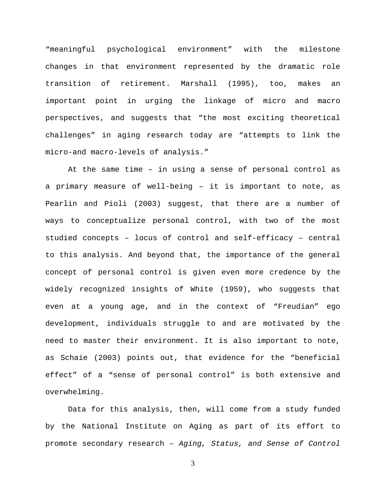"meaningful psychological environment" with the milestone changes in that environment represented by the dramatic role transition of retirement. Marshall (1995), too, makes an important point in urging the linkage of micro and macro perspectives, and suggests that "the most exciting theoretical challenges" in aging research today are "attempts to link the micro-and macro-levels of analysis."

At the same time – in using a sense of personal control as a primary measure of well-being – it is important to note, as Pearlin and Pioli (2003) suggest, that there are a number of ways to conceptualize personal control, with two of the most studied concepts – locus of control and self-efficacy – central to this analysis. And beyond that, the importance of the general concept of personal control is given even more credence by the widely recognized insights of White (1959), who suggests that even at a young age, and in the context of "Freudian" ego development, individuals struggle to and are motivated by the need to master their environment. It is also important to note, as Schaie (2003) points out, that evidence for the "beneficial effect" of a "sense of personal control" is both extensive and overwhelming.

Data for this analysis, then, will come from a study funded by the National Institute on Aging as part of its effort to promote secondary research – *Aging, Status, and Sense of Control*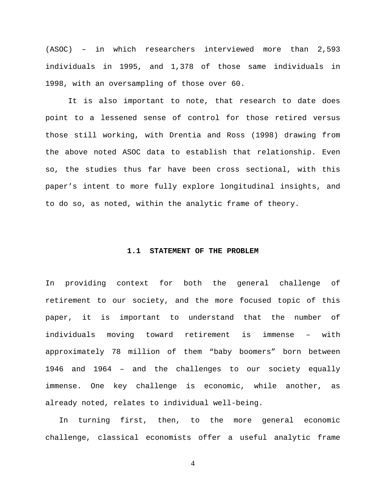<span id="page-17-0"></span>(ASOC) – in which researchers interviewed more than 2,593 individuals in 1995, and 1,378 of those same individuals in 1998, with an oversampling of those over 60.

It is also important to note, that research to date does point to a lessened sense of control for those retired versus those still working, with Drentia and Ross (1998) drawing from the above noted ASOC data to establish that relationship. Even so, the studies thus far have been cross sectional, with this paper's intent to more fully explore longitudinal insights, and to do so, as noted, within the analytic frame of theory.

#### **1.1 STATEMENT OF THE PROBLEM**

In providing context for both the general challenge of retirement to our society, and the more focused topic of this paper, it is important to understand that the number of individuals moving toward retirement is immense – with approximately 78 million of them "baby boomers" born between 1946 and 1964 – and the challenges to our society equally immense. One key challenge is economic, while another, as already noted, relates to individual well-being.

In turning first, then, to the more general economic challenge, classical economists offer a useful analytic frame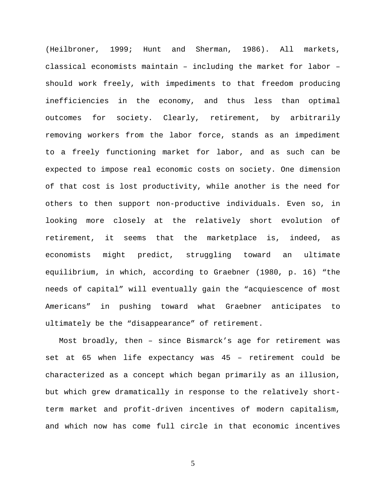(Heilbroner, 1999; Hunt and Sherman, 1986). All markets, classical economists maintain – including the market for labor – should work freely, with impediments to that freedom producing inefficiencies in the economy, and thus less than optimal outcomes for society. Clearly, retirement, by arbitrarily removing workers from the labor force, stands as an impediment to a freely functioning market for labor, and as such can be expected to impose real economic costs on society. One dimension of that cost is lost productivity, while another is the need for others to then support non-productive individuals. Even so, in looking more closely at the relatively short evolution of retirement, it seems that the marketplace is, indeed, as economists might predict, struggling toward an ultimate equilibrium, in which, according to Graebner (1980, p. 16) "the needs of capital" will eventually gain the "acquiescence of most Americans" in pushing toward what Graebner anticipates to ultimately be the "disappearance" of retirement.

Most broadly, then – since Bismarck's age for retirement was set at 65 when life expectancy was 45 – retirement could be characterized as a concept which began primarily as an illusion, but which grew dramatically in response to the relatively shortterm market and profit-driven incentives of modern capitalism, and which now has come full circle in that economic incentives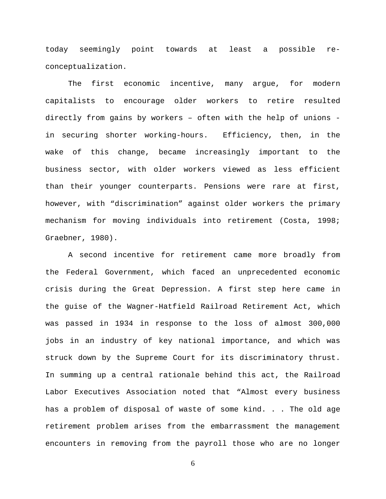today seemingly point towards at least a possible reconceptualization.

The first economic incentive, many argue, for modern capitalists to encourage older workers to retire resulted directly from gains by workers – often with the help of unions in securing shorter working-hours. Efficiency, then, in the wake of this change, became increasingly important to the business sector, with older workers viewed as less efficient than their younger counterparts. Pensions were rare at first, however, with "discrimination" against older workers the primary mechanism for moving individuals into retirement (Costa, 1998; Graebner, 1980).

A second incentive for retirement came more broadly from the Federal Government, which faced an unprecedented economic crisis during the Great Depression. A first step here came in the guise of the Wagner-Hatfield Railroad Retirement Act, which was passed in 1934 in response to the loss of almost 300,000 jobs in an industry of key national importance, and which was struck down by the Supreme Court for its discriminatory thrust. In summing up a central rationale behind this act, the Railroad Labor Executives Association noted that "Almost every business has a problem of disposal of waste of some kind. . . The old age retirement problem arises from the embarrassment the management encounters in removing from the payroll those who are no longer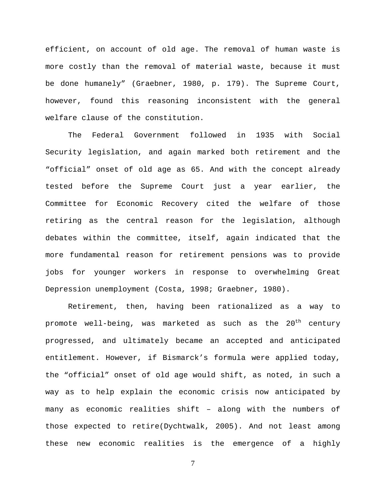efficient, on account of old age. The removal of human waste is more costly than the removal of material waste, because it must be done humanely" (Graebner, 1980, p. 179). The Supreme Court, however, found this reasoning inconsistent with the general welfare clause of the constitution.

The Federal Government followed in 1935 with Social Security legislation, and again marked both retirement and the "official" onset of old age as 65. And with the concept already tested before the Supreme Court just a year earlier, the Committee for Economic Recovery cited the welfare of those retiring as the central reason for the legislation, although debates within the committee, itself, again indicated that the more fundamental reason for retirement pensions was to provide jobs for younger workers in response to overwhelming Great Depression unemployment (Costa, 1998; Graebner, 1980).

Retirement, then, having been rationalized as a way to promote well-being, was marketed as such as the  $20^{th}$  century progressed, and ultimately became an accepted and anticipated entitlement. However, if Bismarck's formula were applied today, the "official" onset of old age would shift, as noted, in such a way as to help explain the economic crisis now anticipated by many as economic realities shift – along with the numbers of those expected to retire(Dychtwalk, 2005). And not least among these new economic realities is the emergence of a highly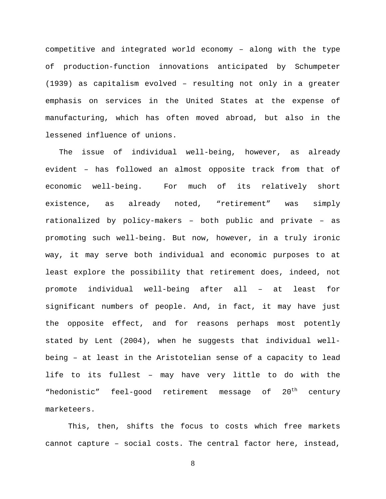competitive and integrated world economy – along with the type of production-function innovations anticipated by Schumpeter (1939) as capitalism evolved – resulting not only in a greater emphasis on services in the United States at the expense of manufacturing, which has often moved abroad, but also in the lessened influence of unions.

The issue of individual well-being, however, as already evident – has followed an almost opposite track from that of economic well-being. For much of its relatively short existence, as already noted, "retirement" was simply rationalized by policy-makers – both public and private – as promoting such well-being. But now, however, in a truly ironic way, it may serve both individual and economic purposes to at least explore the possibility that retirement does, indeed, not promote individual well-being after all – at least for significant numbers of people. And, in fact, it may have just the opposite effect, and for reasons perhaps most potently stated by Lent (2004), when he suggests that individual wellbeing – at least in the Aristotelian sense of a capacity to lead life to its fullest – may have very little to do with the "hedonistic" feel-good retirement message of 20<sup>th</sup> century marketeers.

This, then, shifts the focus to costs which free markets cannot capture – social costs. The central factor here, instead,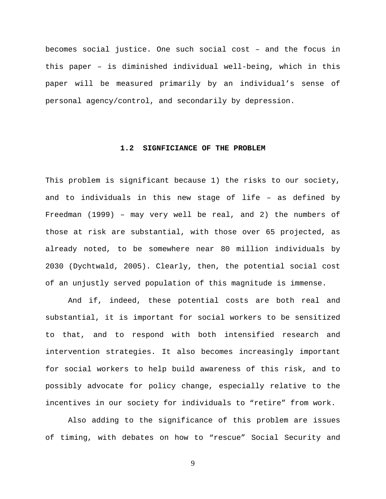<span id="page-22-0"></span>becomes social justice. One such social cost – and the focus in this paper – is diminished individual well-being, which in this paper will be measured primarily by an individual's sense of personal agency/control, and secondarily by depression.

#### **1.2 SIGNFICIANCE OF THE PROBLEM**

This problem is significant because 1) the risks to our society, and to individuals in this new stage of life – as defined by Freedman (1999) – may very well be real, and 2) the numbers of those at risk are substantial, with those over 65 projected, as already noted, to be somewhere near 80 million individuals by 2030 (Dychtwald, 2005). Clearly, then, the potential social cost of an unjustly served population of this magnitude is immense.

And if, indeed, these potential costs are both real and substantial, it is important for social workers to be sensitized to that, and to respond with both intensified research and intervention strategies. It also becomes increasingly important for social workers to help build awareness of this risk, and to possibly advocate for policy change, especially relative to the incentives in our society for individuals to "retire" from work.

Also adding to the significance of this problem are issues of timing, with debates on how to "rescue" Social Security and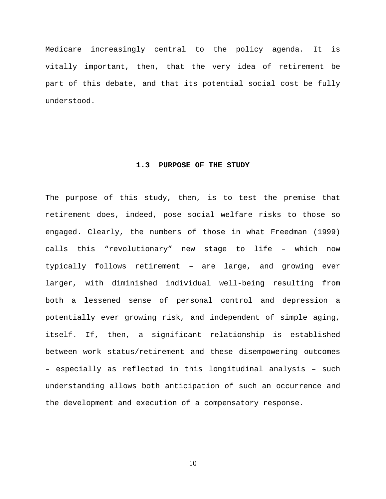<span id="page-23-0"></span>Medicare increasingly central to the policy agenda. It is vitally important, then, that the very idea of retirement be part of this debate, and that its potential social cost be fully understood.

#### **1.3 PURPOSE OF THE STUDY**

The purpose of this study, then, is to test the premise that retirement does, indeed, pose social welfare risks to those so engaged. Clearly, the numbers of those in what Freedman (1999) calls this "revolutionary" new stage to life – which now typically follows retirement – are large, and growing ever larger, with diminished individual well-being resulting from both a lessened sense of personal control and depression a potentially ever growing risk, and independent of simple aging, itself. If, then, a significant relationship is established between work status/retirement and these disempowering outcomes – especially as reflected in this longitudinal analysis – such understanding allows both anticipation of such an occurrence and the development and execution of a compensatory response.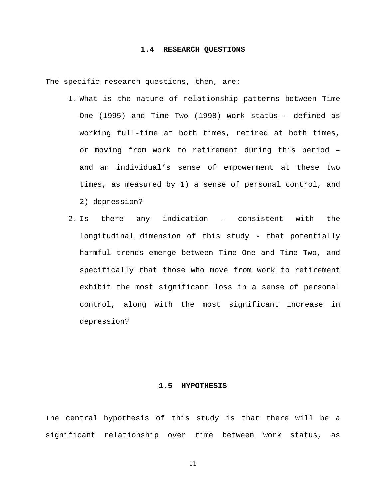#### **1.4 RESEARCH QUESTIONS**

<span id="page-24-0"></span>The specific research questions, then, are:

- 1. What is the nature of relationship patterns between Time One (1995) and Time Two (1998) work status – defined as working full-time at both times, retired at both times, or moving from work to retirement during this period – and an individual's sense of empowerment at these two times, as measured by 1) a sense of personal control, and 2) depression?
- 2. Is there any indication consistent with the longitudinal dimension of this study - that potentially harmful trends emerge between Time One and Time Two, and specifically that those who move from work to retirement exhibit the most significant loss in a sense of personal control, along with the most significant increase in depression?

#### **1.5 HYPOTHESIS**

The central hypothesis of this study is that there will be a significant relationship over time between work status, as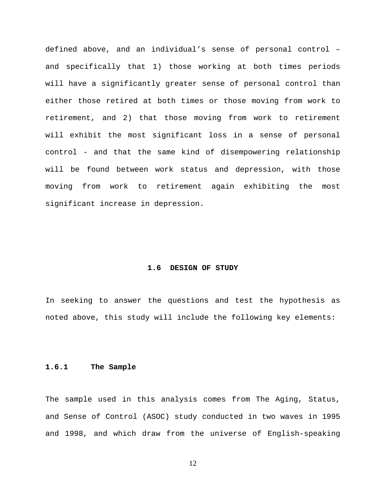<span id="page-25-0"></span>defined above, and an individual's sense of personal control – and specifically that 1) those working at both times periods will have a significantly greater sense of personal control than either those retired at both times or those moving from work to retirement, and 2) that those moving from work to retirement will exhibit the most significant loss in a sense of personal control - and that the same kind of disempowering relationship will be found between work status and depression, with those moving from work to retirement again exhibiting the most significant increase in depression.

#### **1.6 DESIGN OF STUDY**

In seeking to answer the questions and test the hypothesis as noted above, this study will include the following key elements:

#### **1.6.1 The Sample**

The sample used in this analysis comes from The Aging, Status, and Sense of Control (ASOC) study conducted in two waves in 1995 and 1998, and which draw from the universe of English-speaking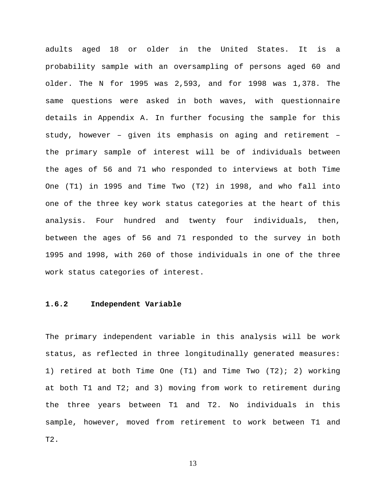<span id="page-26-0"></span>adults aged 18 or older in the United States. It is a probability sample with an oversampling of persons aged 60 and older. The N for 1995 was 2,593, and for 1998 was 1,378. The same questions were asked in both waves, with questionnaire details in Appendix A. In further focusing the sample for this study, however – given its emphasis on aging and retirement – the primary sample of interest will be of individuals between the ages of 56 and 71 who responded to interviews at both Time One (T1) in 1995 and Time Two (T2) in 1998, and who fall into one of the three key work status categories at the heart of this analysis. Four hundred and twenty four individuals, then, between the ages of 56 and 71 responded to the survey in both 1995 and 1998, with 260 of those individuals in one of the three work status categories of interest.

#### **1.6.2 Independent Variable**

The primary independent variable in this analysis will be work status, as reflected in three longitudinally generated measures: 1) retired at both Time One (T1) and Time Two (T2); 2) working at both T1 and T2; and 3) moving from work to retirement during the three years between T1 and T2. No individuals in this sample, however, moved from retirement to work between T1 and T2.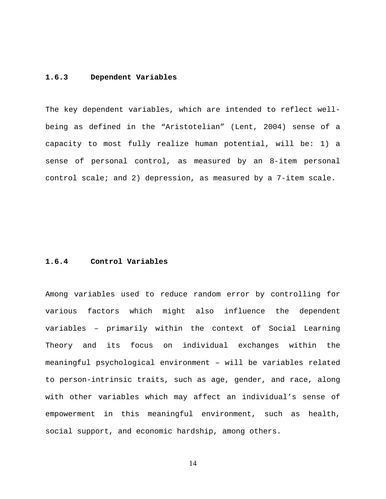#### <span id="page-27-0"></span>**1.6.3 Dependent Variables**

The key dependent variables, which are intended to reflect wellbeing as defined in the "Aristotelian" (Lent, 2004) sense of a capacity to most fully realize human potential, will be: 1) a sense of personal control, as measured by an 8-item personal control scale; and 2) depression, as measured by a 7-item scale.

#### **1.6.4 Control Variables**

Among variables used to reduce random error by controlling for various factors which might also influence the dependent variables – primarily within the context of Social Learning Theory and its focus on individual exchanges within the meaningful psychological environment – will be variables related to person-intrinsic traits, such as age, gender, and race, along with other variables which may affect an individual's sense of empowerment in this meaningful environment, such as health, social support, and economic hardship, among others.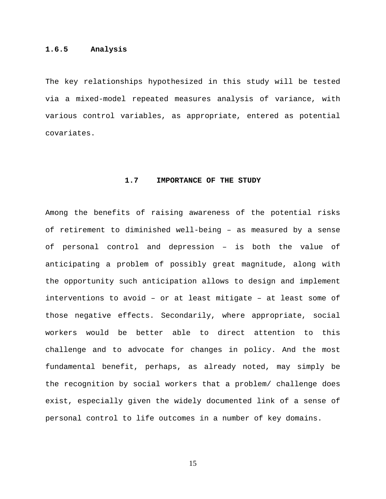#### <span id="page-28-0"></span>**1.6.5 Analysis**

The key relationships hypothesized in this study will be tested via a mixed-model repeated measures analysis of variance, with various control variables, as appropriate, entered as potential covariates.

### **1.7 IMPORTANCE OF THE STUDY**

Among the benefits of raising awareness of the potential risks of retirement to diminished well-being – as measured by a sense of personal control and depression – is both the value of anticipating a problem of possibly great magnitude, along with the opportunity such anticipation allows to design and implement interventions to avoid – or at least mitigate – at least some of those negative effects. Secondarily, where appropriate, social workers would be better able to direct attention to this challenge and to advocate for changes in policy. And the most fundamental benefit, perhaps, as already noted, may simply be the recognition by social workers that a problem/ challenge does exist, especially given the widely documented link of a sense of personal control to life outcomes in a number of key domains.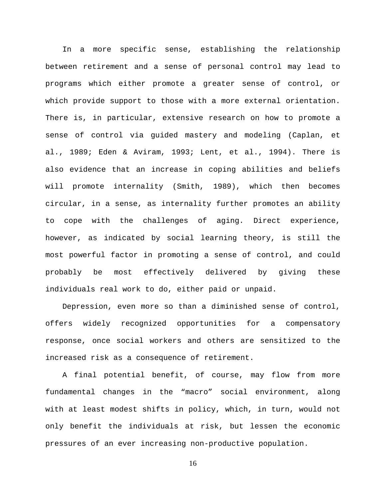In a more specific sense, establishing the relationship between retirement and a sense of personal control may lead to programs which either promote a greater sense of control, or which provide support to those with a more external orientation. There is, in particular, extensive research on how to promote a sense of control via guided mastery and modeling (Caplan, et al., 1989; Eden & Aviram, 1993; Lent, et al., 1994). There is also evidence that an increase in coping abilities and beliefs will promote internality (Smith, 1989), which then becomes circular, in a sense, as internality further promotes an ability to cope with the challenges of aging. Direct experience, however, as indicated by social learning theory, is still the most powerful factor in promoting a sense of control, and could probably be most effectively delivered by giving these individuals real work to do, either paid or unpaid.

Depression, even more so than a diminished sense of control, offers widely recognized opportunities for a compensatory response, once social workers and others are sensitized to the increased risk as a consequence of retirement.

A final potential benefit, of course, may flow from more fundamental changes in the "macro" social environment, along with at least modest shifts in policy, which, in turn, would not only benefit the individuals at risk, but lessen the economic pressures of an ever increasing non-productive population.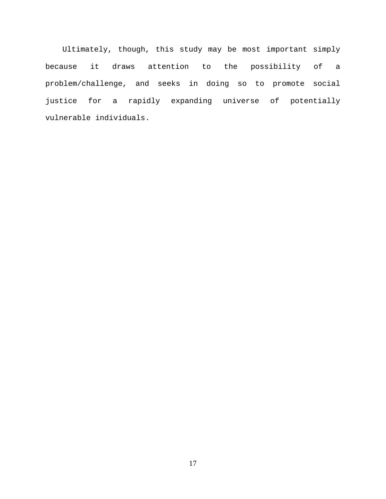Ultimately, though, this study may be most important simply because it draws attention to the possibility of a problem/challenge, and seeks in doing so to promote social justice for a rapidly expanding universe of potentially vulnerable individuals.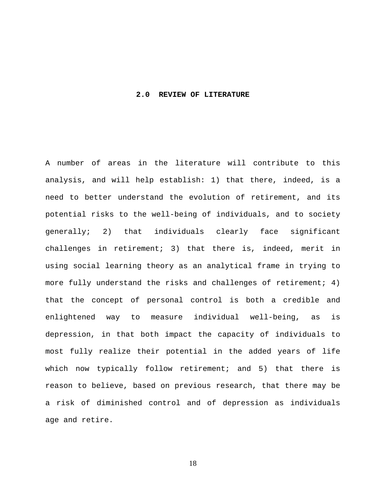#### <span id="page-31-0"></span>**2.0 REVIEW OF LITERATURE**

A number of areas in the literature will contribute to this analysis, and will help establish: 1) that there, indeed, is a need to better understand the evolution of retirement, and its potential risks to the well-being of individuals, and to society generally; 2) that individuals clearly face significant challenges in retirement; 3) that there is, indeed, merit in using social learning theory as an analytical frame in trying to more fully understand the risks and challenges of retirement; 4) that the concept of personal control is both a credible and enlightened way to measure individual well-being, as is depression, in that both impact the capacity of individuals to most fully realize their potential in the added years of life which now typically follow retirement; and 5) that there is reason to believe, based on previous research, that there may be a risk of diminished control and of depression as individuals age and retire.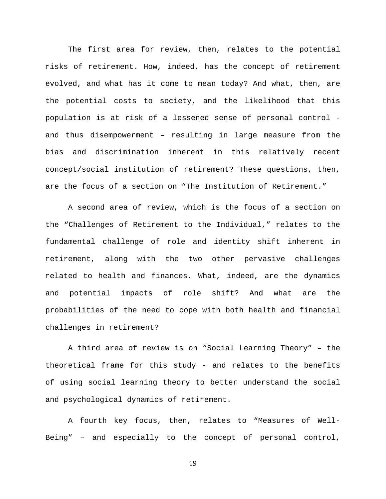The first area for review, then, relates to the potential risks of retirement. How, indeed, has the concept of retirement evolved, and what has it come to mean today? And what, then, are the potential costs to society, and the likelihood that this population is at risk of a lessened sense of personal control and thus disempowerment – resulting in large measure from the bias and discrimination inherent in this relatively recent concept/social institution of retirement? These questions, then, are the focus of a section on "The Institution of Retirement."

A second area of review, which is the focus of a section on the "Challenges of Retirement to the Individual," relates to the fundamental challenge of role and identity shift inherent in retirement, along with the two other pervasive challenges related to health and finances. What, indeed, are the dynamics and potential impacts of role shift? And what are the probabilities of the need to cope with both health and financial challenges in retirement?

A third area of review is on "Social Learning Theory" – the theoretical frame for this study - and relates to the benefits of using social learning theory to better understand the social and psychological dynamics of retirement.

A fourth key focus, then, relates to "Measures of Well-Being" – and especially to the concept of personal control,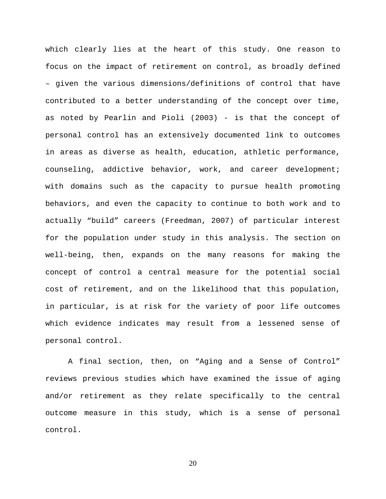which clearly lies at the heart of this study. One reason to focus on the impact of retirement on control, as broadly defined – given the various dimensions/definitions of control that have contributed to a better understanding of the concept over time, as noted by Pearlin and Pioli (2003) - is that the concept of personal control has an extensively documented link to outcomes in areas as diverse as health, education, athletic performance, counseling, addictive behavior, work, and career development; with domains such as the capacity to pursue health promoting behaviors, and even the capacity to continue to both work and to actually "build" careers (Freedman, 2007) of particular interest for the population under study in this analysis. The section on well-being, then, expands on the many reasons for making the concept of control a central measure for the potential social cost of retirement, and on the likelihood that this population, in particular, is at risk for the variety of poor life outcomes which evidence indicates may result from a lessened sense of personal control.

A final section, then, on "Aging and a Sense of Control" reviews previous studies which have examined the issue of aging and/or retirement as they relate specifically to the central outcome measure in this study, which is a sense of personal control.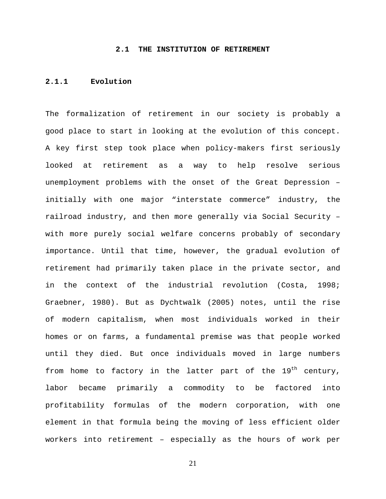#### **2.1 THE INSTITUTION OF RETIREMENT**

#### <span id="page-34-0"></span>**2.1.1 Evolution**

The formalization of retirement in our society is probably a good place to start in looking at the evolution of this concept. A key first step took place when policy-makers first seriously looked at retirement as a way to help resolve serious unemployment problems with the onset of the Great Depression – initially with one major "interstate commerce" industry, the railroad industry, and then more generally via Social Security – with more purely social welfare concerns probably of secondary importance. Until that time, however, the gradual evolution of retirement had primarily taken place in the private sector, and in the context of the industrial revolution (Costa, 1998; Graebner, 1980). But as Dychtwalk (2005) notes, until the rise of modern capitalism, when most individuals worked in their homes or on farms, a fundamental premise was that people worked until they died. But once individuals moved in large numbers from home to factory in the latter part of the  $19<sup>th</sup>$  century, labor became primarily a commodity to be factored into profitability formulas of the modern corporation, with one element in that formula being the moving of less efficient older workers into retirement – especially as the hours of work per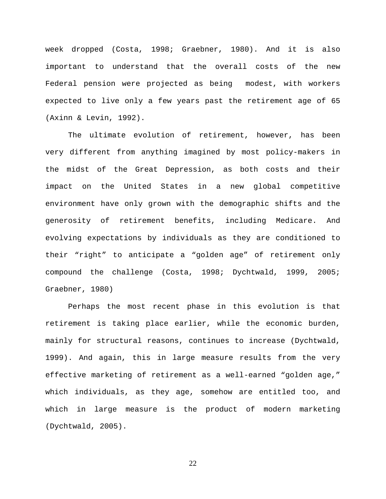week dropped (Costa, 1998; Graebner, 1980). And it is also important to understand that the overall costs of the new Federal pension were projected as being modest, with workers expected to live only a few years past the retirement age of 65 (Axinn & Levin, 1992).

The ultimate evolution of retirement, however, has been very different from anything imagined by most policy-makers in the midst of the Great Depression, as both costs and their impact on the United States in a new global competitive environment have only grown with the demographic shifts and the generosity of retirement benefits, including Medicare. And evolving expectations by individuals as they are conditioned to their "right" to anticipate a "golden age" of retirement only compound the challenge (Costa, 1998; Dychtwald, 1999, 2005; Graebner, 1980)

Perhaps the most recent phase in this evolution is that retirement is taking place earlier, while the economic burden, mainly for structural reasons, continues to increase (Dychtwald, 1999). And again, this in large measure results from the very effective marketing of retirement as a well-earned "golden age," which individuals, as they age, somehow are entitled too, and which in large measure is the product of modern marketing (Dychtwald, 2005).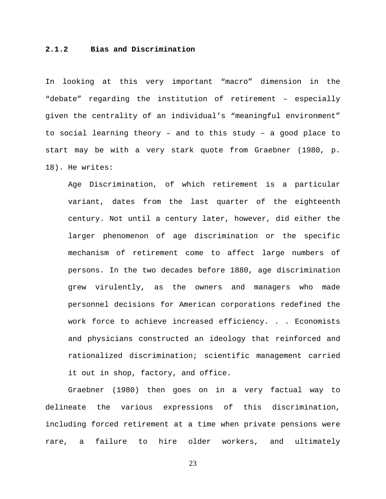## **2.1.2 Bias and Discrimination**

In looking at this very important "macro" dimension in the "debate" regarding the institution of retirement – especially given the centrality of an individual's "meaningful environment" to social learning theory – and to this study – a good place to start may be with a very stark quote from Graebner (1980, p. 18). He writes:

Age Discrimination, of which retirement is a particular variant, dates from the last quarter of the eighteenth century. Not until a century later, however, did either the larger phenomenon of age discrimination or the specific mechanism of retirement come to affect large numbers of persons. In the two decades before 1880, age discrimination grew virulently, as the owners and managers who made personnel decisions for American corporations redefined the work force to achieve increased efficiency. . . Economists and physicians constructed an ideology that reinforced and rationalized discrimination; scientific management carried it out in shop, factory, and office.

Graebner (1980) then goes on in a very factual way to delineate the various expressions of this discrimination, including forced retirement at a time when private pensions were rare, a failure to hire older workers, and ultimately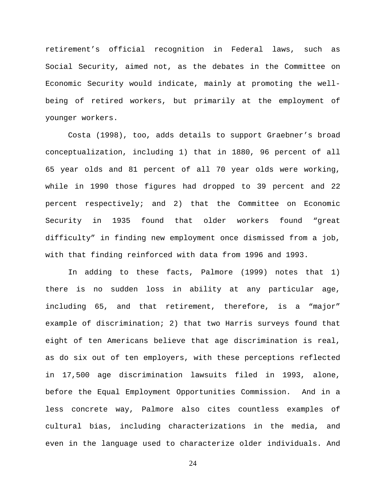retirement's official recognition in Federal laws, such as Social Security, aimed not, as the debates in the Committee on Economic Security would indicate, mainly at promoting the wellbeing of retired workers, but primarily at the employment of younger workers.

Costa (1998), too, adds details to support Graebner's broad conceptualization, including 1) that in 1880, 96 percent of all 65 year olds and 81 percent of all 70 year olds were working, while in 1990 those figures had dropped to 39 percent and 22 percent respectively; and 2) that the Committee on Economic Security in 1935 found that older workers found "great difficulty" in finding new employment once dismissed from a job, with that finding reinforced with data from 1996 and 1993.

In adding to these facts, Palmore (1999) notes that 1) there is no sudden loss in ability at any particular age, including 65, and that retirement, therefore, is a "major" example of discrimination; 2) that two Harris surveys found that eight of ten Americans believe that age discrimination is real, as do six out of ten employers, with these perceptions reflected in 17,500 age discrimination lawsuits filed in 1993, alone, before the Equal Employment Opportunities Commission. And in a less concrete way, Palmore also cites countless examples of cultural bias, including characterizations in the media, and even in the language used to characterize older individuals. And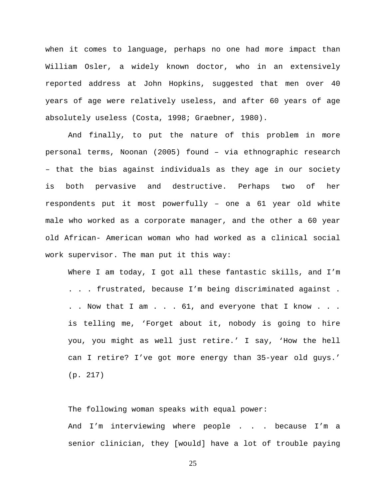when it comes to language, perhaps no one had more impact than William Osler, a widely known doctor, who in an extensively reported address at John Hopkins, suggested that men over 40 years of age were relatively useless, and after 60 years of age absolutely useless (Costa, 1998; Graebner, 1980).

And finally, to put the nature of this problem in more personal terms, Noonan (2005) found – via ethnographic research – that the bias against individuals as they age in our society is both pervasive and destructive. Perhaps two of her respondents put it most powerfully – one a 61 year old white male who worked as a corporate manager, and the other a 60 year old African- American woman who had worked as a clinical social work supervisor. The man put it this way:

Where I am today, I got all these fantastic skills, and I'm . . . frustrated, because I'm being discriminated against . . . Now that I am . . . 61, and everyone that I know . . . is telling me, 'Forget about it, nobody is going to hire you, you might as well just retire.' I say, 'How the hell can I retire? I've got more energy than 35-year old guys.' (p. 217)

The following woman speaks with equal power: And I'm interviewing where people . . . because I'm a senior clinician, they [would] have a lot of trouble paying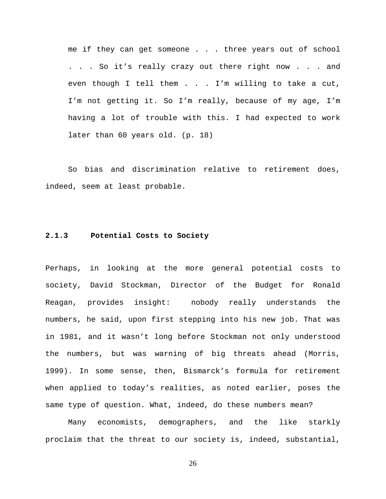me if they can get someone . . . three years out of school . . . So it's really crazy out there right now . . . and even though I tell them . . . I'm willing to take a cut, I'm not getting it. So I'm really, because of my age, I'm having a lot of trouble with this. I had expected to work later than 60 years old. (p. 18)

So bias and discrimination relative to retirement does, indeed, seem at least probable.

#### **2.1.3 Potential Costs to Society**

Perhaps, in looking at the more general potential costs to society, David Stockman, Director of the Budget for Ronald Reagan, provides insight: nobody really understands the numbers, he said, upon first stepping into his new job. That was in 1981, and it wasn't long before Stockman not only understood the numbers, but was warning of big threats ahead (Morris, 1999). In some sense, then, Bismarck's formula for retirement when applied to today's realities, as noted earlier, poses the same type of question. What, indeed, do these numbers mean?

Many economists, demographers, and the like starkly proclaim that the threat to our society is, indeed, substantial,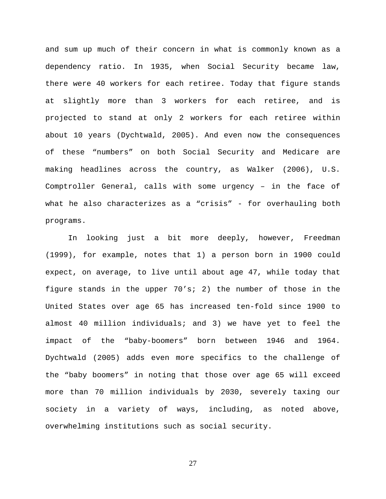and sum up much of their concern in what is commonly known as a dependency ratio. In 1935, when Social Security became law, there were 40 workers for each retiree. Today that figure stands at slightly more than 3 workers for each retiree, and is projected to stand at only 2 workers for each retiree within about 10 years (Dychtwald, 2005). And even now the consequences of these "numbers" on both Social Security and Medicare are making headlines across the country, as Walker (2006), U.S. Comptroller General, calls with some urgency – in the face of what he also characterizes as a "crisis" - for overhauling both programs.

In looking just a bit more deeply, however, Freedman (1999), for example, notes that 1) a person born in 1900 could expect, on average, to live until about age 47, while today that figure stands in the upper 70's; 2) the number of those in the United States over age 65 has increased ten-fold since 1900 to almost 40 million individuals; and 3) we have yet to feel the impact of the "baby-boomers" born between 1946 and 1964. Dychtwald (2005) adds even more specifics to the challenge of the "baby boomers" in noting that those over age 65 will exceed more than 70 million individuals by 2030, severely taxing our society in a variety of ways, including, as noted above, overwhelming institutions such as social security.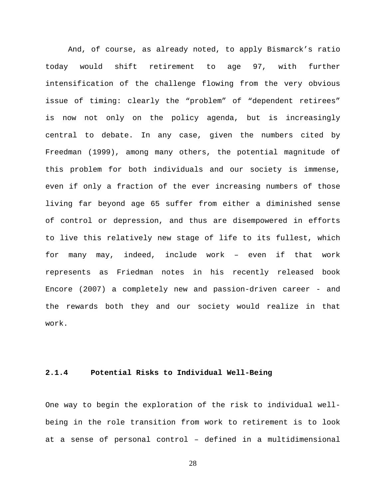And, of course, as already noted, to apply Bismarck's ratio today would shift retirement to age 97, with further intensification of the challenge flowing from the very obvious issue of timing: clearly the "problem" of "dependent retirees" is now not only on the policy agenda, but is increasingly central to debate. In any case, given the numbers cited by Freedman (1999), among many others, the potential magnitude of this problem for both individuals and our society is immense, even if only a fraction of the ever increasing numbers of those living far beyond age 65 suffer from either a diminished sense of control or depression, and thus are disempowered in efforts to live this relatively new stage of life to its fullest, which for many may, indeed, include work – even if that work represents as Friedman notes in his recently released book Encore (2007) a completely new and passion-driven career - and the rewards both they and our society would realize in that work.

## **2.1.4 Potential Risks to Individual Well-Being**

One way to begin the exploration of the risk to individual wellbeing in the role transition from work to retirement is to look at a sense of personal control – defined in a multidimensional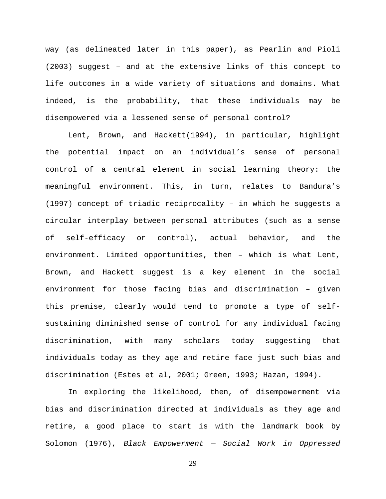way (as delineated later in this paper), as Pearlin and Pioli (2003) suggest – and at the extensive links of this concept to life outcomes in a wide variety of situations and domains. What indeed, is the probability, that these individuals may be disempowered via a lessened sense of personal control?

Lent, Brown, and Hackett(1994), in particular, highlight the potential impact on an individual's sense of personal control of a central element in social learning theory: the meaningful environment. This, in turn, relates to Bandura's (1997) concept of triadic reciprocality – in which he suggests a circular interplay between personal attributes (such as a sense of self-efficacy or control), actual behavior, and the environment. Limited opportunities, then – which is what Lent, Brown, and Hackett suggest is a key element in the social environment for those facing bias and discrimination – given this premise, clearly would tend to promote a type of selfsustaining diminished sense of control for any individual facing discrimination, with many scholars today suggesting that individuals today as they age and retire face just such bias and discrimination (Estes et al, 2001; Green, 1993; Hazan, 1994).

In exploring the likelihood, then, of disempowerment via bias and discrimination directed at individuals as they age and retire, a good place to start is with the landmark book by Solomon (1976), *Black Empowerment — Social Work in Oppressed*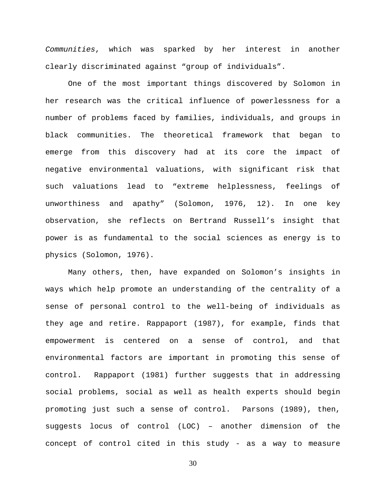*Communities*, which was sparked by her interest in another clearly discriminated against "group of individuals".

One of the most important things discovered by Solomon in her research was the critical influence of powerlessness for a number of problems faced by families, individuals, and groups in black communities. The theoretical framework that began to emerge from this discovery had at its core the impact of negative environmental valuations, with significant risk that such valuations lead to "extreme helplessness, feelings of unworthiness and apathy" (Solomon, 1976, 12). In one key observation, she reflects on Bertrand Russell's insight that power is as fundamental to the social sciences as energy is to physics (Solomon, 1976).

Many others, then, have expanded on Solomon's insights in ways which help promote an understanding of the centrality of a sense of personal control to the well-being of individuals as they age and retire. Rappaport (1987), for example, finds that empowerment is centered on a sense of control, and that environmental factors are important in promoting this sense of control. Rappaport (1981) further suggests that in addressing social problems, social as well as health experts should begin promoting just such a sense of control. Parsons (1989), then, suggests locus of control (LOC) – another dimension of the concept of control cited in this study - as a way to measure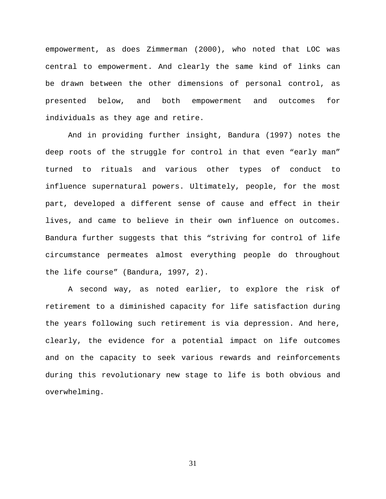empowerment, as does Zimmerman (2000), who noted that LOC was central to empowerment. And clearly the same kind of links can be drawn between the other dimensions of personal control, as presented below, and both empowerment and outcomes for individuals as they age and retire.

And in providing further insight, Bandura (1997) notes the deep roots of the struggle for control in that even "early man" turned to rituals and various other types of conduct to influence supernatural powers. Ultimately, people, for the most part, developed a different sense of cause and effect in their lives, and came to believe in their own influence on outcomes. Bandura further suggests that this "striving for control of life circumstance permeates almost everything people do throughout the life course" (Bandura, 1997, 2).

A second way, as noted earlier, to explore the risk of retirement to a diminished capacity for life satisfaction during the years following such retirement is via depression. And here, clearly, the evidence for a potential impact on life outcomes and on the capacity to seek various rewards and reinforcements during this revolutionary new stage to life is both obvious and overwhelming.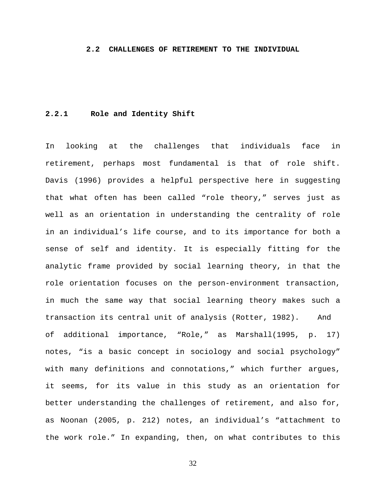#### **2.2 CHALLENGES OF RETIREMENT TO THE INDIVIDUAL**

# **2.2.1 Role and Identity Shift**

In looking at the challenges that individuals face in retirement, perhaps most fundamental is that of role shift. Davis (1996) provides a helpful perspective here in suggesting that what often has been called "role theory," serves just as well as an orientation in understanding the centrality of role in an individual's life course, and to its importance for both a sense of self and identity. It is especially fitting for the analytic frame provided by social learning theory, in that the role orientation focuses on the person-environment transaction, in much the same way that social learning theory makes such a transaction its central unit of analysis (Rotter, 1982). And of additional importance, "Role," as Marshall(1995, p. 17) notes, "is a basic concept in sociology and social psychology" with many definitions and connotations," which further argues, it seems, for its value in this study as an orientation for better understanding the challenges of retirement, and also for, as Noonan (2005, p. 212) notes, an individual's "attachment to the work role." In expanding, then, on what contributes to this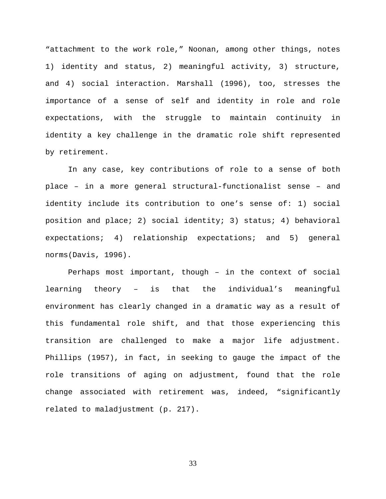"attachment to the work role," Noonan, among other things, notes 1) identity and status, 2) meaningful activity, 3) structure, and 4) social interaction. Marshall (1996), too, stresses the importance of a sense of self and identity in role and role expectations, with the struggle to maintain continuity in identity a key challenge in the dramatic role shift represented by retirement.

In any case, key contributions of role to a sense of both place – in a more general structural-functionalist sense – and identity include its contribution to one's sense of: 1) social position and place; 2) social identity; 3) status; 4) behavioral expectations; 4) relationship expectations; and 5) general norms(Davis, 1996).

Perhaps most important, though – in the context of social learning theory – is that the individual's meaningful environment has clearly changed in a dramatic way as a result of this fundamental role shift, and that those experiencing this transition are challenged to make a major life adjustment. Phillips (1957), in fact, in seeking to gauge the impact of the role transitions of aging on adjustment, found that the role change associated with retirement was, indeed, "significantly related to maladjustment (p. 217).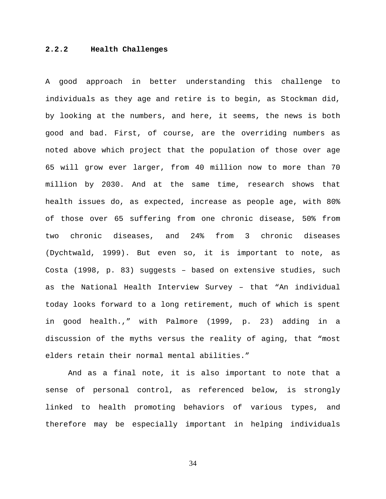# **2.2.2 Health Challenges**

A good approach in better understanding this challenge to individuals as they age and retire is to begin, as Stockman did, by looking at the numbers, and here, it seems, the news is both good and bad. First, of course, are the overriding numbers as noted above which project that the population of those over age 65 will grow ever larger, from 40 million now to more than 70 million by 2030. And at the same time, research shows that health issues do, as expected, increase as people age, with 80% of those over 65 suffering from one chronic disease, 50% from two chronic diseases, and 24% from 3 chronic diseases (Dychtwald, 1999). But even so, it is important to note, as Costa (1998, p. 83) suggests – based on extensive studies, such as the National Health Interview Survey – that "An individual today looks forward to a long retirement, much of which is spent in good health.," with Palmore (1999, p. 23) adding in a discussion of the myths versus the reality of aging, that "most elders retain their normal mental abilities."

And as a final note, it is also important to note that a sense of personal control, as referenced below, is strongly linked to health promoting behaviors of various types, and therefore may be especially important in helping individuals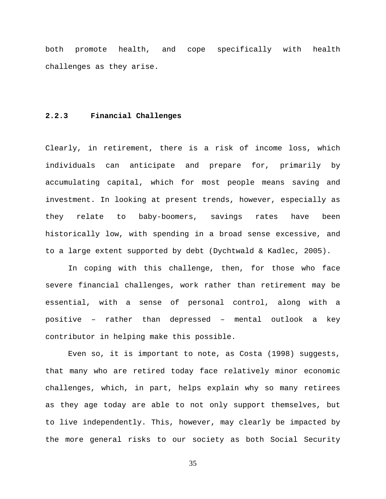both promote health, and cope specifically with health challenges as they arise.

# **2.2.3 Financial Challenges**

Clearly, in retirement, there is a risk of income loss, which individuals can anticipate and prepare for, primarily by accumulating capital, which for most people means saving and investment. In looking at present trends, however, especially as they relate to baby-boomers, savings rates have been historically low, with spending in a broad sense excessive, and to a large extent supported by debt (Dychtwald & Kadlec, 2005).

In coping with this challenge, then, for those who face severe financial challenges, work rather than retirement may be essential, with a sense of personal control, along with a positive – rather than depressed – mental outlook a key contributor in helping make this possible.

Even so, it is important to note, as Costa (1998) suggests, that many who are retired today face relatively minor economic challenges, which, in part, helps explain why so many retirees as they age today are able to not only support themselves, but to live independently. This, however, may clearly be impacted by the more general risks to our society as both Social Security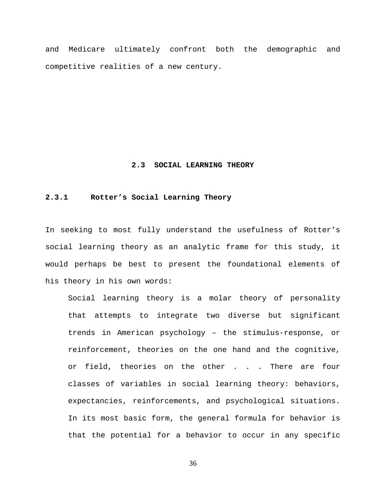and Medicare ultimately confront both the demographic and competitive realities of a new century.

#### **2.3 SOCIAL LEARNING THEORY**

# **2.3.1 Rotter's Social Learning Theory**

In seeking to most fully understand the usefulness of Rotter's social learning theory as an analytic frame for this study, it would perhaps be best to present the foundational elements of his theory in his own words:

Social learning theory is a molar theory of personality that attempts to integrate two diverse but significant trends in American psychology – the stimulus-response, or reinforcement, theories on the one hand and the cognitive, or field, theories on the other . . . There are four classes of variables in social learning theory: behaviors, expectancies, reinforcements, and psychological situations. In its most basic form, the general formula for behavior is that the potential for a behavior to occur in any specific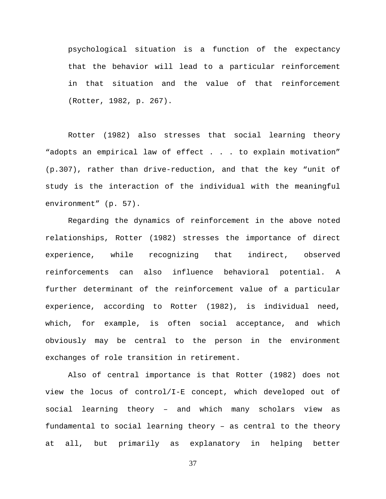psychological situation is a function of the expectancy that the behavior will lead to a particular reinforcement in that situation and the value of that reinforcement (Rotter, 1982, p. 267).

Rotter (1982) also stresses that social learning theory "adopts an empirical law of effect . . . to explain motivation" (p.307), rather than drive-reduction, and that the key "unit of study is the interaction of the individual with the meaningful environment" (p. 57).

Regarding the dynamics of reinforcement in the above noted relationships, Rotter (1982) stresses the importance of direct experience, while recognizing that indirect, observed reinforcements can also influence behavioral potential. A further determinant of the reinforcement value of a particular experience, according to Rotter (1982), is individual need, which, for example, is often social acceptance, and which obviously may be central to the person in the environment exchanges of role transition in retirement.

Also of central importance is that Rotter (1982) does not view the locus of control/I-E concept, which developed out of social learning theory – and which many scholars view as fundamental to social learning theory – as central to the theory at all, but primarily as explanatory in helping better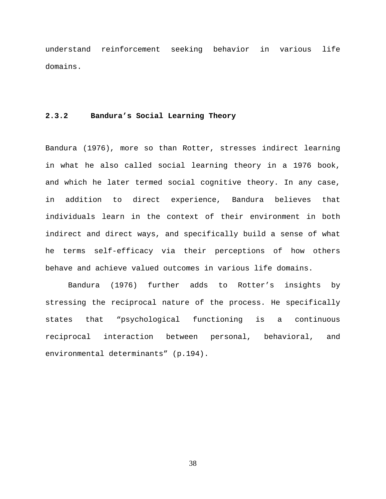understand reinforcement seeking behavior in various life domains.

# **2.3.2 Bandura's Social Learning Theory**

Bandura (1976), more so than Rotter, stresses indirect learning in what he also called social learning theory in a 1976 book, and which he later termed social cognitive theory. In any case, in addition to direct experience, Bandura believes that individuals learn in the context of their environment in both indirect and direct ways, and specifically build a sense of what he terms self-efficacy via their perceptions of how others behave and achieve valued outcomes in various life domains.

Bandura (1976) further adds to Rotter's insights by stressing the reciprocal nature of the process. He specifically states that "psychological functioning is a continuous reciprocal interaction between personal, behavioral, and environmental determinants" (p.194).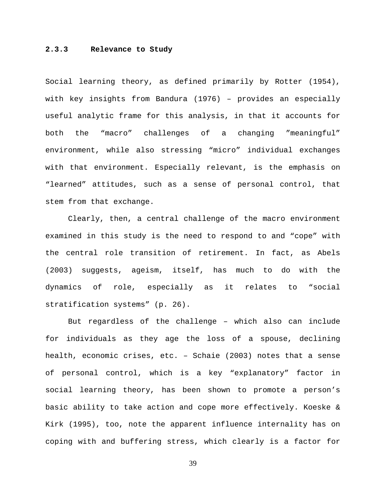## **2.3.3 Relevance to Study**

Social learning theory, as defined primarily by Rotter (1954), with key insights from Bandura (1976) – provides an especially useful analytic frame for this analysis, in that it accounts for both the "macro" challenges of a changing "meaningful" environment, while also stressing "micro" individual exchanges with that environment. Especially relevant, is the emphasis on "learned" attitudes, such as a sense of personal control, that stem from that exchange.

Clearly, then, a central challenge of the macro environment examined in this study is the need to respond to and "cope" with the central role transition of retirement. In fact, as Abels (2003) suggests, ageism, itself, has much to do with the dynamics of role, especially as it relates to "social stratification systems" (p. 26).

But regardless of the challenge – which also can include for individuals as they age the loss of a spouse, declining health, economic crises, etc. – Schaie (2003) notes that a sense of personal control, which is a key "explanatory" factor in social learning theory, has been shown to promote a person's basic ability to take action and cope more effectively. Koeske & Kirk (1995), too, note the apparent influence internality has on coping with and buffering stress, which clearly is a factor for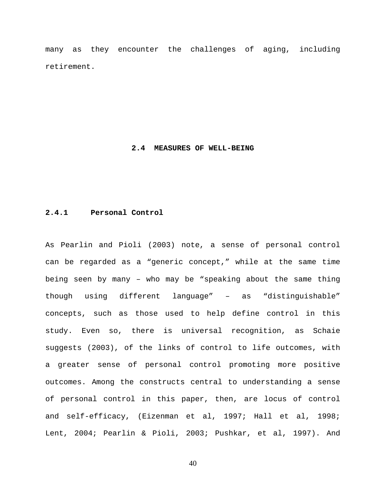many as they encounter the challenges of aging, including retirement.

#### **2.4 MEASURES OF WELL-BEING**

# **2.4.1 Personal Control**

As Pearlin and Pioli (2003) note, a sense of personal control can be regarded as a "generic concept," while at the same time being seen by many – who may be "speaking about the same thing though using different language" – as "distinguishable" concepts, such as those used to help define control in this study. Even so, there is universal recognition, as Schaie suggests (2003), of the links of control to life outcomes, with a greater sense of personal control promoting more positive outcomes. Among the constructs central to understanding a sense of personal control in this paper, then, are locus of control and self-efficacy, (Eizenman et al, 1997; Hall et al, 1998; Lent, 2004; Pearlin & Pioli, 2003; Pushkar, et al, 1997). And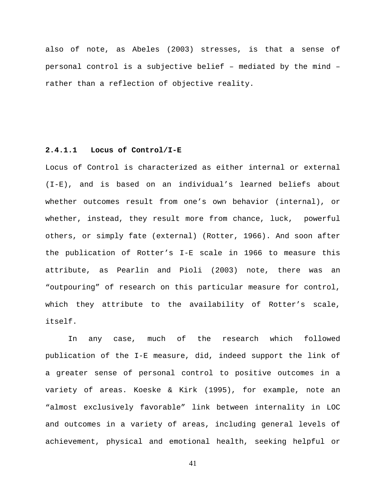also of note, as Abeles (2003) stresses, is that a sense of personal control is a subjective belief – mediated by the mind – rather than a reflection of objective reality.

# **2.4.1.1 Locus of Control/I-E**

Locus of Control is characterized as either internal or external (I-E), and is based on an individual's learned beliefs about whether outcomes result from one's own behavior (internal), or whether, instead, they result more from chance, luck, powerful others, or simply fate (external) (Rotter, 1966). And soon after the publication of Rotter's I-E scale in 1966 to measure this attribute, as Pearlin and Pioli (2003) note, there was an "outpouring" of research on this particular measure for control, which they attribute to the availability of Rotter's scale, itself.

In any case, much of the research which followed publication of the I-E measure, did, indeed support the link of a greater sense of personal control to positive outcomes in a variety of areas. Koeske & Kirk (1995), for example, note an "almost exclusively favorable" link between internality in LOC and outcomes in a variety of areas, including general levels of achievement, physical and emotional health, seeking helpful or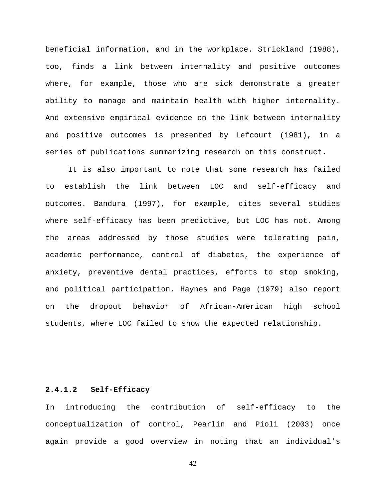beneficial information, and in the workplace. Strickland (1988), too, finds a link between internality and positive outcomes where, for example, those who are sick demonstrate a greater ability to manage and maintain health with higher internality. And extensive empirical evidence on the link between internality and positive outcomes is presented by Lefcourt (1981), in a series of publications summarizing research on this construct.

It is also important to note that some research has failed to establish the link between LOC and self-efficacy and outcomes. Bandura (1997), for example, cites several studies where self-efficacy has been predictive, but LOC has not. Among the areas addressed by those studies were tolerating pain, academic performance, control of diabetes, the experience of anxiety, preventive dental practices, efforts to stop smoking, and political participation. Haynes and Page (1979) also report on the dropout behavior of African-American high school students, where LOC failed to show the expected relationship.

#### **2.4.1.2 Self-Efficacy**

In introducing the contribution of self-efficacy to the conceptualization of control, Pearlin and Pioli (2003) once again provide a good overview in noting that an individual's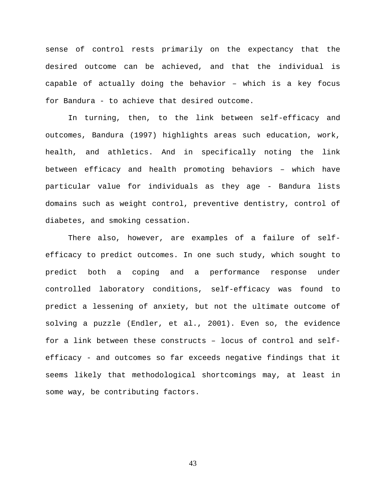sense of control rests primarily on the expectancy that the desired outcome can be achieved, and that the individual is capable of actually doing the behavior – which is a key focus for Bandura - to achieve that desired outcome.

 In turning, then, to the link between self-efficacy and outcomes, Bandura (1997) highlights areas such education, work, health, and athletics. And in specifically noting the link between efficacy and health promoting behaviors – which have particular value for individuals as they age - Bandura lists domains such as weight control, preventive dentistry, control of diabetes, and smoking cessation.

 There also, however, are examples of a failure of selfefficacy to predict outcomes. In one such study, which sought to predict both a coping and a performance response under controlled laboratory conditions, self-efficacy was found to predict a lessening of anxiety, but not the ultimate outcome of solving a puzzle (Endler, et al., 2001). Even so, the evidence for a link between these constructs – locus of control and selfefficacy - and outcomes so far exceeds negative findings that it seems likely that methodological shortcomings may, at least in some way, be contributing factors.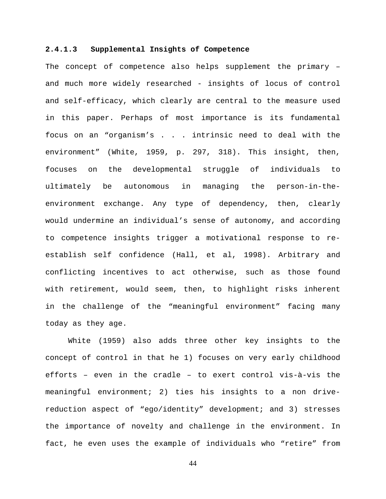## **2.4.1.3 Supplemental Insights of Competence**

The concept of competence also helps supplement the primary – and much more widely researched - insights of locus of control and self-efficacy, which clearly are central to the measure used in this paper. Perhaps of most importance is its fundamental focus on an "organism's . . . intrinsic need to deal with the environment" (White, 1959, p. 297, 318). This insight, then, focuses on the developmental struggle of individuals to ultimately be autonomous in managing the person-in-theenvironment exchange. Any type of dependency, then, clearly would undermine an individual's sense of autonomy, and according to competence insights trigger a motivational response to reestablish self confidence (Hall, et al, 1998). Arbitrary and conflicting incentives to act otherwise, such as those found with retirement, would seem, then, to highlight risks inherent in the challenge of the "meaningful environment" facing many today as they age.

White (1959) also adds three other key insights to the concept of control in that he 1) focuses on very early childhood efforts – even in the cradle – to exert control vis-à-vis the meaningful environment; 2) ties his insights to a non drivereduction aspect of "ego/identity" development; and 3) stresses the importance of novelty and challenge in the environment. In fact, he even uses the example of individuals who "retire" from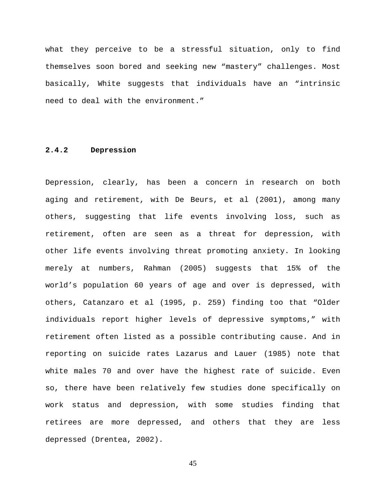what they perceive to be a stressful situation, only to find themselves soon bored and seeking new "mastery" challenges. Most basically, White suggests that individuals have an "intrinsic need to deal with the environment."

# **2.4.2 Depression**

Depression, clearly, has been a concern in research on both aging and retirement, with De Beurs, et al (2001), among many others, suggesting that life events involving loss, such as retirement, often are seen as a threat for depression, with other life events involving threat promoting anxiety. In looking merely at numbers, Rahman (2005) suggests that 15% of the world's population 60 years of age and over is depressed, with others, Catanzaro et al (1995, p. 259) finding too that "Older individuals report higher levels of depressive symptoms," with retirement often listed as a possible contributing cause. And in reporting on suicide rates Lazarus and Lauer (1985) note that white males 70 and over have the highest rate of suicide. Even so, there have been relatively few studies done specifically on work status and depression, with some studies finding that retirees are more depressed, and others that they are less depressed (Drentea, 2002).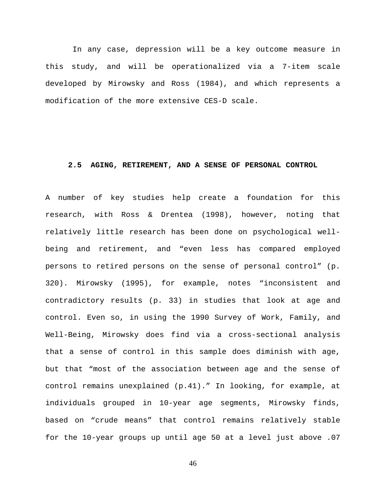In any case, depression will be a key outcome measure in this study, and will be operationalized via a 7-item scale developed by Mirowsky and Ross (1984), and which represents a modification of the more extensive CES-D scale.

#### **2.5 AGING, RETIREMENT, AND A SENSE OF PERSONAL CONTROL**

A number of key studies help create a foundation for this research, with Ross & Drentea (1998), however, noting that relatively little research has been done on psychological wellbeing and retirement, and "even less has compared employed persons to retired persons on the sense of personal control" (p. 320). Mirowsky (1995), for example, notes "inconsistent and contradictory results (p. 33) in studies that look at age and control. Even so, in using the 1990 Survey of Work, Family, and Well-Being, Mirowsky does find via a cross-sectional analysis that a sense of control in this sample does diminish with age, but that "most of the association between age and the sense of control remains unexplained (p.41)." In looking, for example, at individuals grouped in 10-year age segments, Mirowsky finds, based on "crude means" that control remains relatively stable for the 10-year groups up until age 50 at a level just above .07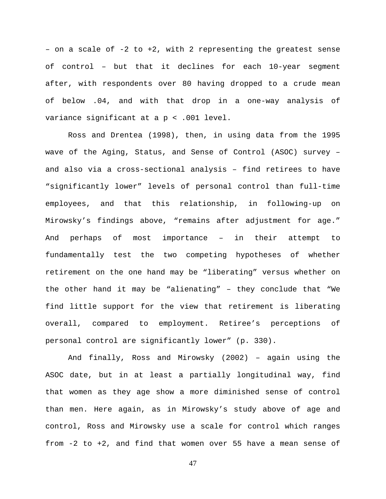- on a scale of  $-2$  to  $+2$ , with 2 representing the greatest sense of control – but that it declines for each 10-year segment after, with respondents over 80 having dropped to a crude mean of below .04, and with that drop in a one-way analysis of variance significant at a p < .001 level.

Ross and Drentea (1998), then, in using data from the 1995 wave of the Aging, Status, and Sense of Control (ASOC) survey – and also via a cross-sectional analysis – find retirees to have "significantly lower" levels of personal control than full-time employees, and that this relationship, in following-up on Mirowsky's findings above, "remains after adjustment for age." And perhaps of most importance – in their attempt to fundamentally test the two competing hypotheses of whether retirement on the one hand may be "liberating" versus whether on the other hand it may be "alienating" – they conclude that "We find little support for the view that retirement is liberating overall, compared to employment. Retiree's perceptions of personal control are significantly lower" (p. 330).

And finally, Ross and Mirowsky (2002) – again using the ASOC date, but in at least a partially longitudinal way, find that women as they age show a more diminished sense of control than men. Here again, as in Mirowsky's study above of age and control, Ross and Mirowsky use a scale for control which ranges from -2 to +2, and find that women over 55 have a mean sense of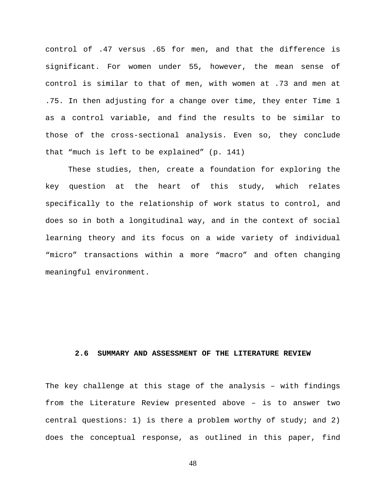control of .47 versus .65 for men, and that the difference is significant. For women under 55, however, the mean sense of control is similar to that of men, with women at .73 and men at .75. In then adjusting for a change over time, they enter Time 1 as a control variable, and find the results to be similar to those of the cross-sectional analysis. Even so, they conclude that "much is left to be explained" (p. 141)

These studies, then, create a foundation for exploring the key question at the heart of this study, which relates specifically to the relationship of work status to control, and does so in both a longitudinal way, and in the context of social learning theory and its focus on a wide variety of individual "micro" transactions within a more "macro" and often changing meaningful environment.

# **2.6 SUMMARY AND ASSESSMENT OF THE LITERATURE REVIEW**

The key challenge at this stage of the analysis – with findings from the Literature Review presented above – is to answer two central questions: 1) is there a problem worthy of study; and 2) does the conceptual response, as outlined in this paper, find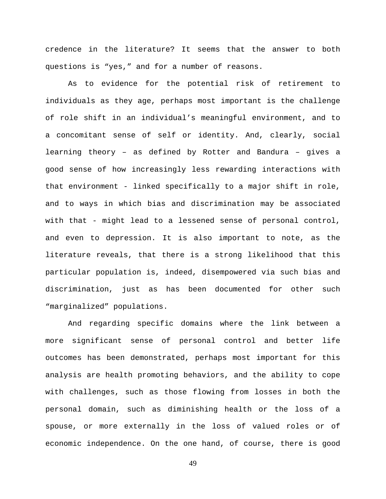credence in the literature? It seems that the answer to both questions is "yes," and for a number of reasons.

As to evidence for the potential risk of retirement to individuals as they age, perhaps most important is the challenge of role shift in an individual's meaningful environment, and to a concomitant sense of self or identity. And, clearly, social learning theory – as defined by Rotter and Bandura – gives a good sense of how increasingly less rewarding interactions with that environment - linked specifically to a major shift in role, and to ways in which bias and discrimination may be associated with that - might lead to a lessened sense of personal control, and even to depression. It is also important to note, as the literature reveals, that there is a strong likelihood that this particular population is, indeed, disempowered via such bias and discrimination, just as has been documented for other such "marginalized" populations.

And regarding specific domains where the link between a more significant sense of personal control and better life outcomes has been demonstrated, perhaps most important for this analysis are health promoting behaviors, and the ability to cope with challenges, such as those flowing from losses in both the personal domain, such as diminishing health or the loss of a spouse, or more externally in the loss of valued roles or of economic independence. On the one hand, of course, there is good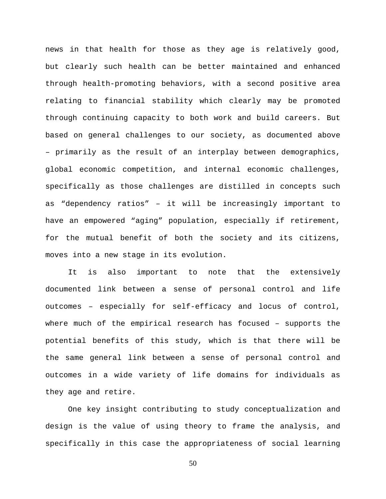news in that health for those as they age is relatively good, but clearly such health can be better maintained and enhanced through health-promoting behaviors, with a second positive area relating to financial stability which clearly may be promoted through continuing capacity to both work and build careers. But based on general challenges to our society, as documented above – primarily as the result of an interplay between demographics, global economic competition, and internal economic challenges, specifically as those challenges are distilled in concepts such as "dependency ratios" – it will be increasingly important to have an empowered "aging" population, especially if retirement, for the mutual benefit of both the society and its citizens, moves into a new stage in its evolution.

It is also important to note that the extensively documented link between a sense of personal control and life outcomes – especially for self-efficacy and locus of control, where much of the empirical research has focused – supports the potential benefits of this study, which is that there will be the same general link between a sense of personal control and outcomes in a wide variety of life domains for individuals as they age and retire.

One key insight contributing to study conceptualization and design is the value of using theory to frame the analysis, and specifically in this case the appropriateness of social learning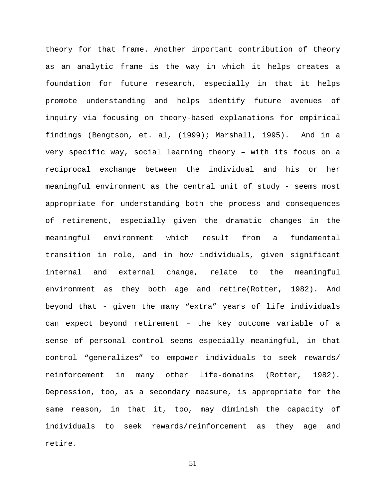theory for that frame. Another important contribution of theory as an analytic frame is the way in which it helps creates a foundation for future research, especially in that it helps promote understanding and helps identify future avenues of inquiry via focusing on theory-based explanations for empirical findings (Bengtson, et. al, (1999); Marshall, 1995). And in a very specific way, social learning theory – with its focus on a reciprocal exchange between the individual and his or her meaningful environment as the central unit of study - seems most appropriate for understanding both the process and consequences of retirement, especially given the dramatic changes in the meaningful environment which result from a fundamental transition in role, and in how individuals, given significant internal and external change, relate to the meaningful environment as they both age and retire(Rotter, 1982). And beyond that - given the many "extra" years of life individuals can expect beyond retirement – the key outcome variable of a sense of personal control seems especially meaningful, in that control "generalizes" to empower individuals to seek rewards/ reinforcement in many other life-domains (Rotter, 1982). Depression, too, as a secondary measure, is appropriate for the same reason, in that it, too, may diminish the capacity of individuals to seek rewards/reinforcement as they age and retire.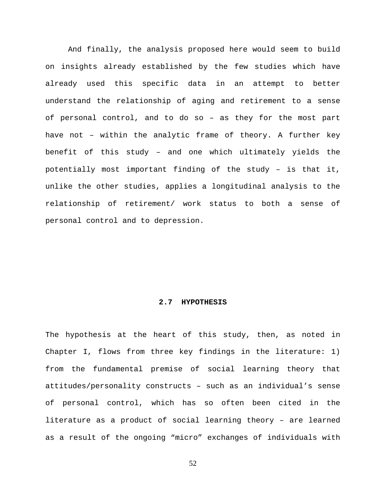And finally, the analysis proposed here would seem to build on insights already established by the few studies which have already used this specific data in an attempt to better understand the relationship of aging and retirement to a sense of personal control, and to do so – as they for the most part have not – within the analytic frame of theory. A further key benefit of this study – and one which ultimately yields the potentially most important finding of the study – is that it, unlike the other studies, applies a longitudinal analysis to the relationship of retirement/ work status to both a sense of personal control and to depression.

#### **2.7 HYPOTHESIS**

The hypothesis at the heart of this study, then, as noted in Chapter I, flows from three key findings in the literature: 1) from the fundamental premise of social learning theory that attitudes/personality constructs – such as an individual's sense of personal control, which has so often been cited in the literature as a product of social learning theory – are learned as a result of the ongoing "micro" exchanges of individuals with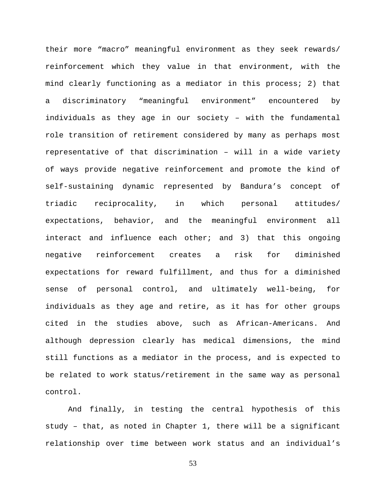their more "macro" meaningful environment as they seek rewards/ reinforcement which they value in that environment, with the mind clearly functioning as a mediator in this process; 2) that a discriminatory "meaningful environment" encountered by individuals as they age in our society – with the fundamental role transition of retirement considered by many as perhaps most representative of that discrimination – will in a wide variety of ways provide negative reinforcement and promote the kind of self-sustaining dynamic represented by Bandura's concept of triadic reciprocality, in which personal attitudes/ expectations, behavior, and the meaningful environment all interact and influence each other; and 3) that this ongoing negative reinforcement creates a risk for diminished expectations for reward fulfillment, and thus for a diminished sense of personal control, and ultimately well-being, for individuals as they age and retire, as it has for other groups cited in the studies above, such as African-Americans. And although depression clearly has medical dimensions, the mind still functions as a mediator in the process, and is expected to be related to work status/retirement in the same way as personal control.

And finally, in testing the central hypothesis of this study – that, as noted in Chapter 1, there will be a significant relationship over time between work status and an individual's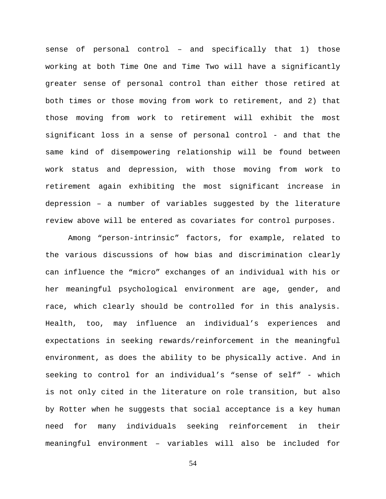sense of personal control – and specifically that 1) those working at both Time One and Time Two will have a significantly greater sense of personal control than either those retired at both times or those moving from work to retirement, and 2) that those moving from work to retirement will exhibit the most significant loss in a sense of personal control - and that the same kind of disempowering relationship will be found between work status and depression, with those moving from work to retirement again exhibiting the most significant increase in depression – a number of variables suggested by the literature review above will be entered as covariates for control purposes.

Among "person-intrinsic" factors, for example, related to the various discussions of how bias and discrimination clearly can influence the "micro" exchanges of an individual with his or her meaningful psychological environment are age, gender, and race, which clearly should be controlled for in this analysis. Health, too, may influence an individual's experiences and expectations in seeking rewards/reinforcement in the meaningful environment, as does the ability to be physically active. And in seeking to control for an individual's "sense of self" - which is not only cited in the literature on role transition, but also by Rotter when he suggests that social acceptance is a key human need for many individuals seeking reinforcement in their meaningful environment – variables will also be included for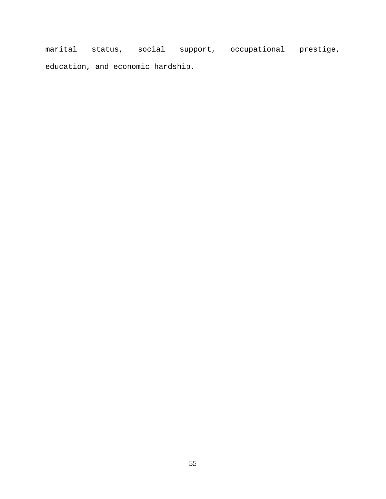marital status, social support, occupational prestige, education, and economic hardship.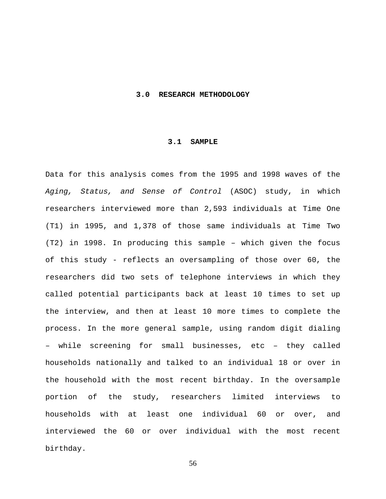#### **3.0 RESEARCH METHODOLOGY**

#### **3.1 SAMPLE**

Data for this analysis comes from the 1995 and 1998 waves of the *Aging, Status, and Sense of Control* (ASOC) study, in which researchers interviewed more than 2,593 individuals at Time One (T1) in 1995, and 1,378 of those same individuals at Time Two (T2) in 1998. In producing this sample – which given the focus of this study - reflects an oversampling of those over 60, the researchers did two sets of telephone interviews in which they called potential participants back at least 10 times to set up the interview, and then at least 10 more times to complete the process. In the more general sample, using random digit dialing – while screening for small businesses, etc – they called households nationally and talked to an individual 18 or over in the household with the most recent birthday. In the oversample portion of the study, researchers limited interviews to households with at least one individual 60 or over, and interviewed the 60 or over individual with the most recent birthday.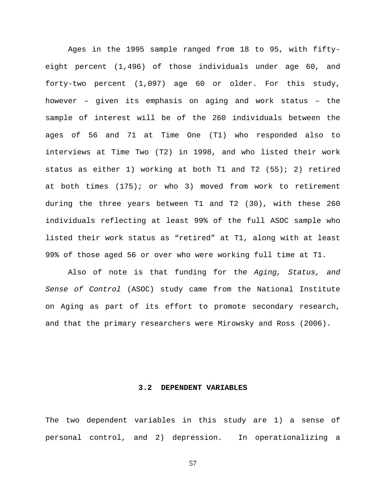Ages in the 1995 sample ranged from 18 to 95, with fiftyeight percent (1,496) of those individuals under age 60, and forty-two percent (1,097) age 60 or older. For this study, however – given its emphasis on aging and work status – the sample of interest will be of the 260 individuals between the ages of 56 and 71 at Time One (T1) who responded also to interviews at Time Two (T2) in 1998, and who listed their work status as either 1) working at both T1 and T2 (55); 2) retired at both times (175); or who 3) moved from work to retirement during the three years between T1 and T2 (30), with these 260 individuals reflecting at least 99% of the full ASOC sample who listed their work status as "retired" at T1, along with at least 99% of those aged 56 or over who were working full time at T1.

Also of note is that funding for the *Aging, Status, and Sense of Control* (ASOC) study came from the National Institute on Aging as part of its effort to promote secondary research, and that the primary researchers were Mirowsky and Ross (2006).

## **3.2 DEPENDENT VARIABLES**

The two dependent variables in this study are 1) a sense of personal control, and 2) depression. In operationalizing a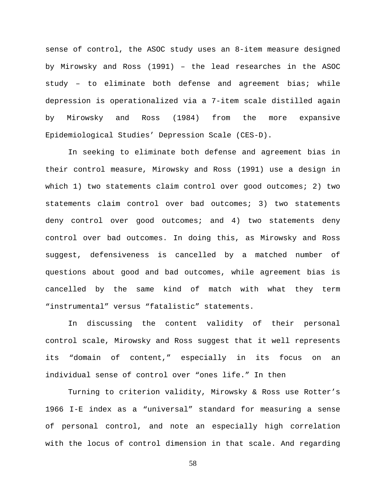sense of control, the ASOC study uses an 8-item measure designed by Mirowsky and Ross (1991) – the lead researches in the ASOC study – to eliminate both defense and agreement bias; while depression is operationalized via a 7-item scale distilled again by Mirowsky and Ross (1984) from the more expansive Epidemiological Studies' Depression Scale (CES-D).

In seeking to eliminate both defense and agreement bias in their control measure, Mirowsky and Ross (1991) use a design in which 1) two statements claim control over good outcomes; 2) two statements claim control over bad outcomes; 3) two statements deny control over good outcomes; and 4) two statements deny control over bad outcomes. In doing this, as Mirowsky and Ross suggest, defensiveness is cancelled by a matched number of questions about good and bad outcomes, while agreement bias is cancelled by the same kind of match with what they term "instrumental" versus "fatalistic" statements.

In discussing the content validity of their personal control scale, Mirowsky and Ross suggest that it well represents its "domain of content," especially in its focus on an individual sense of control over "ones life." In then

Turning to criterion validity, Mirowsky & Ross use Rotter's 1966 I-E index as a "universal" standard for measuring a sense of personal control, and note an especially high correlation with the locus of control dimension in that scale. And regarding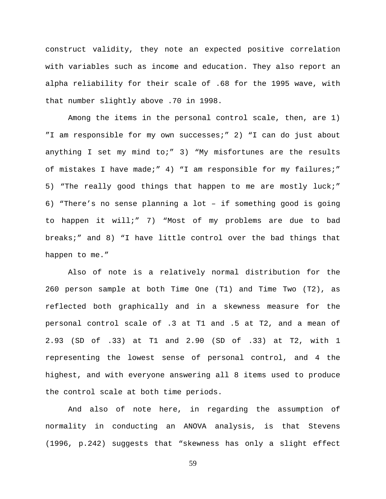construct validity, they note an expected positive correlation with variables such as income and education. They also report an alpha reliability for their scale of .68 for the 1995 wave, with that number slightly above .70 in 1998.

Among the items in the personal control scale, then, are 1) "I am responsible for my own successes;" 2) "I can do just about anything I set my mind to;" 3) "My misfortunes are the results of mistakes I have made;" 4) "I am responsible for my failures;" 5) "The really good things that happen to me are mostly luck;" 6) "There's no sense planning a lot – if something good is going to happen it will;" 7) "Most of my problems are due to bad breaks;" and 8) "I have little control over the bad things that happen to me."

Also of note is a relatively normal distribution for the 260 person sample at both Time One (T1) and Time Two (T2), as reflected both graphically and in a skewness measure for the personal control scale of .3 at T1 and .5 at T2, and a mean of 2.93 (SD of .33) at T1 and 2.90 (SD of .33) at T2, with 1 representing the lowest sense of personal control, and 4 the highest, and with everyone answering all 8 items used to produce the control scale at both time periods.

And also of note here, in regarding the assumption of normality in conducting an ANOVA analysis, is that Stevens (1996, p.242) suggests that "skewness has only a slight effect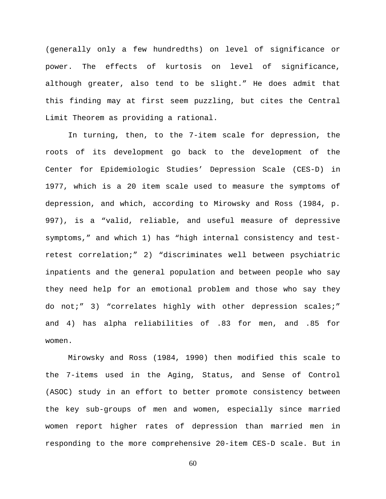(generally only a few hundredths) on level of significance or power. The effects of kurtosis on level of significance, although greater, also tend to be slight." He does admit that this finding may at first seem puzzling, but cites the Central Limit Theorem as providing a rational.

In turning, then, to the 7-item scale for depression, the roots of its development go back to the development of the Center for Epidemiologic Studies' Depression Scale (CES-D) in 1977, which is a 20 item scale used to measure the symptoms of depression, and which, according to Mirowsky and Ross (1984, p. 997), is a "valid, reliable, and useful measure of depressive symptoms," and which 1) has "high internal consistency and testretest correlation;" 2) "discriminates well between psychiatric inpatients and the general population and between people who say they need help for an emotional problem and those who say they do not;" 3) "correlates highly with other depression scales;" and 4) has alpha reliabilities of .83 for men, and .85 for women.

Mirowsky and Ross (1984, 1990) then modified this scale to the 7-items used in the Aging, Status, and Sense of Control (ASOC) study in an effort to better promote consistency between the key sub-groups of men and women, especially since married women report higher rates of depression than married men in responding to the more comprehensive 20-item CES-D scale. But in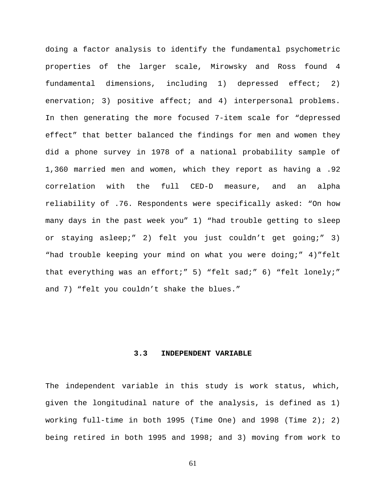doing a factor analysis to identify the fundamental psychometric properties of the larger scale, Mirowsky and Ross found 4 fundamental dimensions, including 1) depressed effect; 2) enervation; 3) positive affect; and 4) interpersonal problems. In then generating the more focused 7-item scale for "depressed effect" that better balanced the findings for men and women they did a phone survey in 1978 of a national probability sample of 1,360 married men and women, which they report as having a .92 correlation with the full CED-D measure, and an alpha reliability of .76. Respondents were specifically asked: "On how many days in the past week you" 1) "had trouble getting to sleep or staying asleep;" 2) felt you just couldn't get going;" 3) "had trouble keeping your mind on what you were doing;" 4)"felt that everything was an effort;" 5) "felt sad;" 6) "felt lonely;" and 7) "felt you couldn't shake the blues."

## **3.3 INDEPENDENT VARIABLE**

The independent variable in this study is work status, which, given the longitudinal nature of the analysis, is defined as 1) working full-time in both 1995 (Time One) and 1998 (Time 2); 2) being retired in both 1995 and 1998; and 3) moving from work to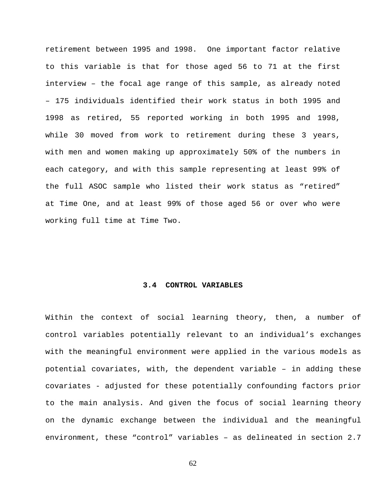retirement between 1995 and 1998. One important factor relative to this variable is that for those aged 56 to 71 at the first interview – the focal age range of this sample, as already noted – 175 individuals identified their work status in both 1995 and 1998 as retired, 55 reported working in both 1995 and 1998, while 30 moved from work to retirement during these 3 years, with men and women making up approximately 50% of the numbers in each category, and with this sample representing at least 99% of the full ASOC sample who listed their work status as "retired" at Time One, and at least 99% of those aged 56 or over who were working full time at Time Two.

## **3.4 CONTROL VARIABLES**

Within the context of social learning theory, then, a number of control variables potentially relevant to an individual's exchanges with the meaningful environment were applied in the various models as potential covariates, with, the dependent variable – in adding these covariates - adjusted for these potentially confounding factors prior to the main analysis. And given the focus of social learning theory on the dynamic exchange between the individual and the meaningful environment, these "control" variables – as delineated in section 2.7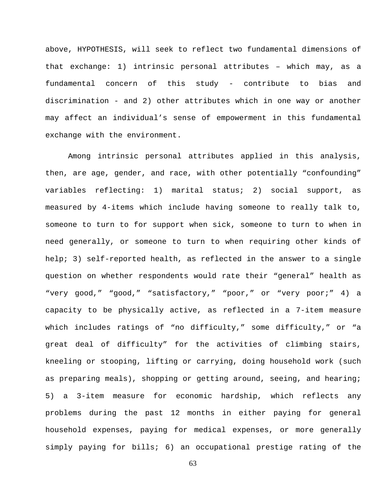above, HYPOTHESIS, will seek to reflect two fundamental dimensions of that exchange: 1) intrinsic personal attributes – which may, as a fundamental concern of this study - contribute to bias and discrimination - and 2) other attributes which in one way or another may affect an individual's sense of empowerment in this fundamental exchange with the environment.

Among intrinsic personal attributes applied in this analysis, then, are age, gender, and race, with other potentially "confounding" variables reflecting: 1) marital status; 2) social support, as measured by 4-items which include having someone to really talk to, someone to turn to for support when sick, someone to turn to when in need generally, or someone to turn to when requiring other kinds of help; 3) self-reported health, as reflected in the answer to a single question on whether respondents would rate their "general" health as "very good," "good," "satisfactory," "poor," or "very poor;" 4) a capacity to be physically active, as reflected in a 7-item measure which includes ratings of "no difficulty," some difficulty," or "a great deal of difficulty" for the activities of climbing stairs, kneeling or stooping, lifting or carrying, doing household work (such as preparing meals), shopping or getting around, seeing, and hearing; 5) a 3-item measure for economic hardship, which reflects any problems during the past 12 months in either paying for general household expenses, paying for medical expenses, or more generally simply paying for bills; 6) an occupational prestige rating of the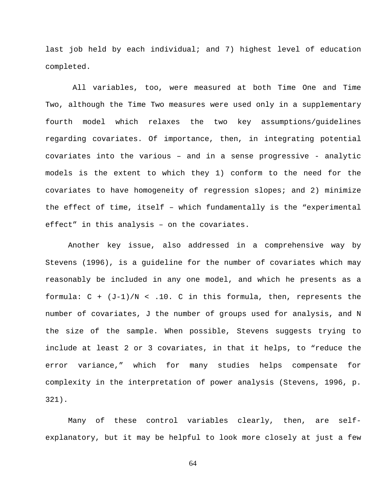last job held by each individual; and 7) highest level of education completed.

 All variables, too, were measured at both Time One and Time Two, although the Time Two measures were used only in a supplementary fourth model which relaxes the two key assumptions/guidelines regarding covariates. Of importance, then, in integrating potential covariates into the various – and in a sense progressive - analytic models is the extent to which they 1) conform to the need for the covariates to have homogeneity of regression slopes; and 2) minimize the effect of time, itself – which fundamentally is the "experimental effect" in this analysis – on the covariates.

Another key issue, also addressed in a comprehensive way by Stevens (1996), is a guideline for the number of covariates which may reasonably be included in any one model, and which he presents as a formula:  $C + (J-1)/N < .10$ . C in this formula, then, represents the number of covariates, J the number of groups used for analysis, and N the size of the sample. When possible, Stevens suggests trying to include at least 2 or 3 covariates, in that it helps, to "reduce the error variance," which for many studies helps compensate for complexity in the interpretation of power analysis (Stevens, 1996, p. 321).

 Many of these control variables clearly, then, are selfexplanatory, but it may be helpful to look more closely at just a few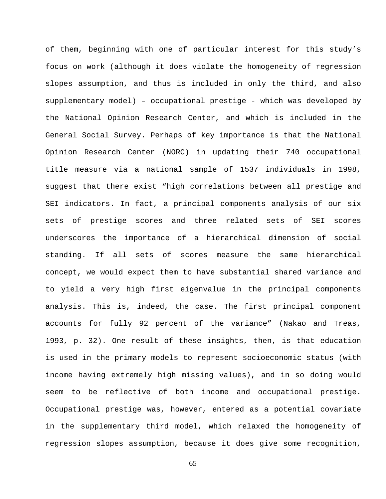of them, beginning with one of particular interest for this study's focus on work (although it does violate the homogeneity of regression slopes assumption, and thus is included in only the third, and also supplementary model) – occupational prestige - which was developed by the National Opinion Research Center, and which is included in the General Social Survey. Perhaps of key importance is that the National Opinion Research Center (NORC) in updating their 740 occupational title measure via a national sample of 1537 individuals in 1998, suggest that there exist "high correlations between all prestige and SEI indicators. In fact, a principal components analysis of our six sets of prestige scores and three related sets of SEI scores underscores the importance of a hierarchical dimension of social standing. If all sets of scores measure the same hierarchical concept, we would expect them to have substantial shared variance and to yield a very high first eigenvalue in the principal components analysis. This is, indeed, the case. The first principal component accounts for fully 92 percent of the variance" (Nakao and Treas, 1993, p. 32). One result of these insights, then, is that education is used in the primary models to represent socioeconomic status (with income having extremely high missing values), and in so doing would seem to be reflective of both income and occupational prestige. Occupational prestige was, however, entered as a potential covariate in the supplementary third model, which relaxed the homogeneity of regression slopes assumption, because it does give some recognition,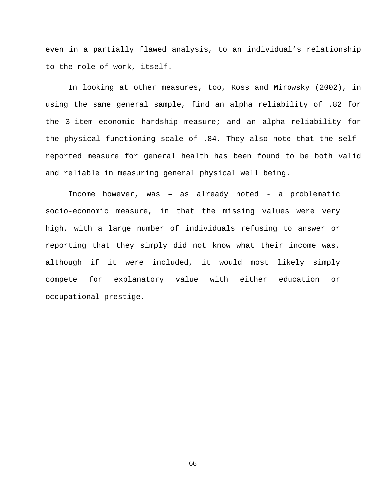even in a partially flawed analysis, to an individual's relationship to the role of work, itself.

 In looking at other measures, too, Ross and Mirowsky (2002), in using the same general sample, find an alpha reliability of .82 for the 3-item economic hardship measure; and an alpha reliability for the physical functioning scale of .84. They also note that the selfreported measure for general health has been found to be both valid and reliable in measuring general physical well being.

Income however, was – as already noted - a problematic socio-economic measure, in that the missing values were very high, with a large number of individuals refusing to answer or reporting that they simply did not know what their income was, although if it were included, it would most likely simply compete for explanatory value with either education or occupational prestige.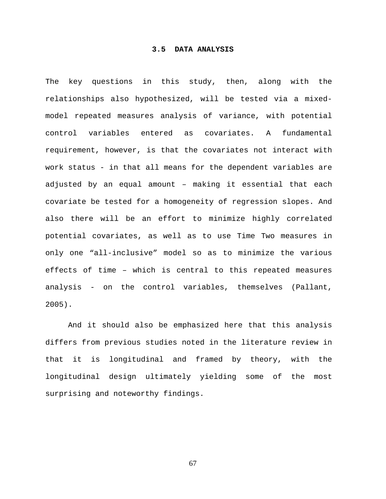## **3.5 DATA ANALYSIS**

The key questions in this study, then, along with the relationships also hypothesized, will be tested via a mixedmodel repeated measures analysis of variance, with potential control variables entered as covariates. A fundamental requirement, however, is that the covariates not interact with work status - in that all means for the dependent variables are adjusted by an equal amount – making it essential that each covariate be tested for a homogeneity of regression slopes. And also there will be an effort to minimize highly correlated potential covariates, as well as to use Time Two measures in only one "all-inclusive" model so as to minimize the various effects of time – which is central to this repeated measures analysis - on the control variables, themselves (Pallant, 2005).

 And it should also be emphasized here that this analysis differs from previous studies noted in the literature review in that it is longitudinal and framed by theory, with the longitudinal design ultimately yielding some of the most surprising and noteworthy findings.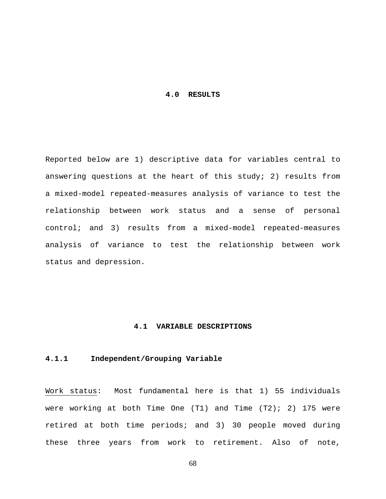## **4.0 RESULTS**

Reported below are 1) descriptive data for variables central to answering questions at the heart of this study; 2) results from a mixed-model repeated-measures analysis of variance to test the relationship between work status and a sense of personal control; and 3) results from a mixed-model repeated-measures analysis of variance to test the relationship between work status and depression.

# **4.1 VARIABLE DESCRIPTIONS**

# **4.1.1 Independent/Grouping Variable**

Work status: Most fundamental here is that 1) 55 individuals were working at both Time One  $(T1)$  and Time  $(T2)$ ; 2) 175 were retired at both time periods; and 3) 30 people moved during these three years from work to retirement. Also of note,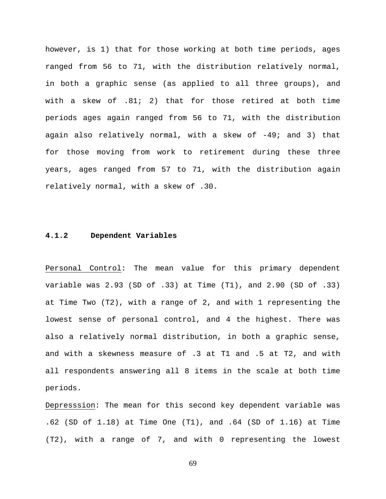however, is 1) that for those working at both time periods, ages ranged from 56 to 71, with the distribution relatively normal, in both a graphic sense (as applied to all three groups), and with a skew of .81; 2) that for those retired at both time periods ages again ranged from 56 to 71, with the distribution again also relatively normal, with a skew of -49; and 3) that for those moving from work to retirement during these three years, ages ranged from 57 to 71, with the distribution again relatively normal, with a skew of .30.

## **4.1.2 Dependent Variables**

Personal Control: The mean value for this primary dependent variable was 2.93 (SD of .33) at Time (T1), and 2.90 (SD of .33) at Time Two (T2), with a range of 2, and with 1 representing the lowest sense of personal control, and 4 the highest. There was also a relatively normal distribution, in both a graphic sense, and with a skewness measure of .3 at T1 and .5 at T2, and with all respondents answering all 8 items in the scale at both time periods.

Depresssion: The mean for this second key dependent variable was .62 (SD of 1.18) at Time One (T1), and .64 (SD of 1.16) at Time (T2), with a range of 7, and with 0 representing the lowest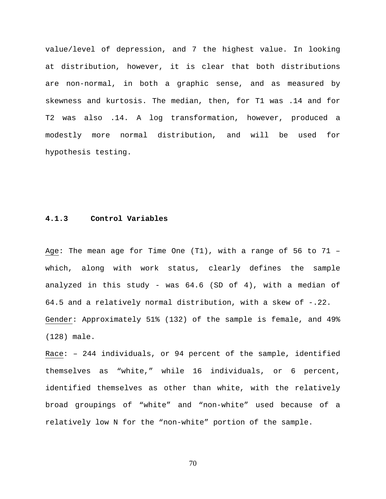value/level of depression, and 7 the highest value. In looking at distribution, however, it is clear that both distributions are non-normal, in both a graphic sense, and as measured by skewness and kurtosis. The median, then, for T1 was .14 and for T2 was also .14. A log transformation, however, produced a modestly more normal distribution, and will be used for hypothesis testing.

# **4.1.3 Control Variables**

Age: The mean age for Time One (T1), with a range of 56 to 71 – which, along with work status, clearly defines the sample analyzed in this study - was 64.6 (SD of 4), with a median of 64.5 and a relatively normal distribution, with a skew of -.22. Gender: Approximately 51% (132) of the sample is female, and 49% (128) male.

Race: – 244 individuals, or 94 percent of the sample, identified themselves as "white," while 16 individuals, or 6 percent, identified themselves as other than white, with the relatively broad groupings of "white" and "non-white" used because of a relatively low N for the "non-white" portion of the sample.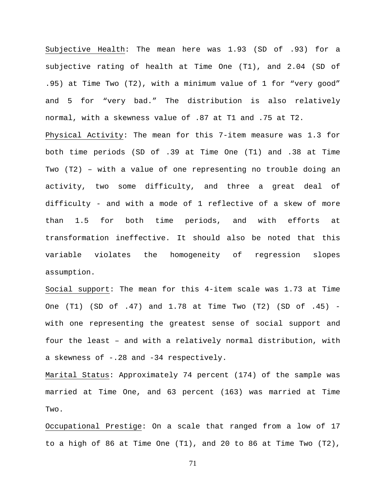Subjective Health: The mean here was 1.93 (SD of .93) for a subjective rating of health at Time One (T1), and 2.04 (SD of .95) at Time Two (T2), with a minimum value of 1 for "very good" and 5 for "very bad." The distribution is also relatively normal, with a skewness value of .87 at T1 and .75 at T2. Physical Activity: The mean for this 7-item measure was 1.3 for both time periods (SD of .39 at Time One (T1) and .38 at Time Two (T2) – with a value of one representing no trouble doing an activity, two some difficulty, and three a great deal of difficulty - and with a mode of 1 reflective of a skew of more than 1.5 for both time periods, and with efforts at transformation ineffective. It should also be noted that this variable violates the homogeneity of regression slopes assumption.

Social support: The mean for this 4-item scale was 1.73 at Time One (T1) (SD of .47) and 1.78 at Time Two (T2) (SD of .45) with one representing the greatest sense of social support and four the least – and with a relatively normal distribution, with a skewness of -.28 and -34 respectively.

Marital Status: Approximately 74 percent (174) of the sample was married at Time One, and 63 percent (163) was married at Time Two.

Occupational Prestige: On a scale that ranged from a low of 17 to a high of 86 at Time One (T1), and 20 to 86 at Time Two (T2),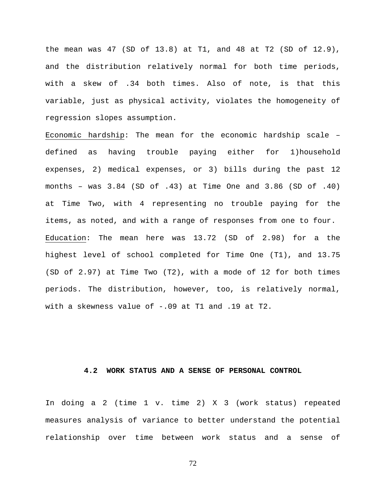the mean was 47 (SD of 13.8) at T1, and 48 at T2 (SD of 12.9), and the distribution relatively normal for both time periods, with a skew of .34 both times. Also of note, is that this variable, just as physical activity, violates the homogeneity of regression slopes assumption.

Economic hardship: The mean for the economic hardship scale – defined as having trouble paying either for 1)household expenses, 2) medical expenses, or 3) bills during the past 12 months – was 3.84 (SD of .43) at Time One and 3.86 (SD of .40) at Time Two, with 4 representing no trouble paying for the items, as noted, and with a range of responses from one to four. Education: The mean here was 13.72 (SD of 2.98) for a the highest level of school completed for Time One (T1), and 13.75 (SD of 2.97) at Time Two (T2), with a mode of 12 for both times periods. The distribution, however, too, is relatively normal, with a skewness value of -.09 at T1 and .19 at T2.

### **4.2 WORK STATUS AND A SENSE OF PERSONAL CONTROL**

In doing a 2 (time 1 v. time 2) X 3 (work status) repeated measures analysis of variance to better understand the potential relationship over time between work status and a sense of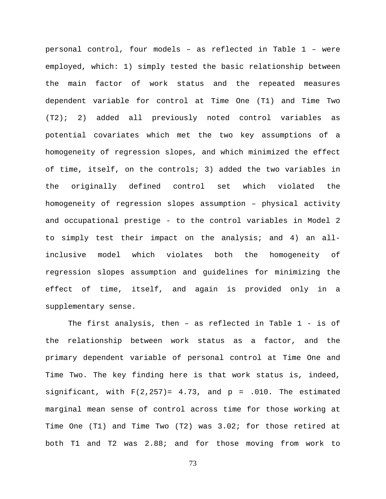personal control, four models – as reflected in Table 1 – were employed, which: 1) simply tested the basic relationship between the main factor of work status and the repeated measures dependent variable for control at Time One (T1) and Time Two (T2); 2) added all previously noted control variables as potential covariates which met the two key assumptions of a homogeneity of regression slopes, and which minimized the effect of time, itself, on the controls; 3) added the two variables in the originally defined control set which violated the homogeneity of regression slopes assumption – physical activity and occupational prestige - to the control variables in Model 2 to simply test their impact on the analysis; and 4) an allinclusive model which violates both the homogeneity of regression slopes assumption and guidelines for minimizing the effect of time, itself, and again is provided only in a supplementary sense.

The first analysis, then – as reflected in Table 1 - is of the relationship between work status as a factor, and the primary dependent variable of personal control at Time One and Time Two. The key finding here is that work status is, indeed, significant, with  $F(2,257)= 4.73$ , and  $p = .010$ . The estimated marginal mean sense of control across time for those working at Time One (T1) and Time Two (T2) was 3.02; for those retired at both T1 and T2 was 2.88; and for those moving from work to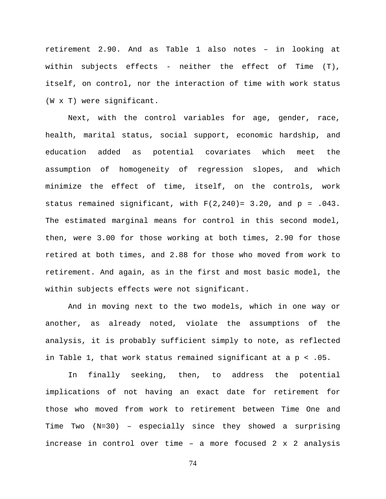retirement 2.90. And as Table 1 also notes – in looking at within subjects effects - neither the effect of Time (T), itself, on control, nor the interaction of time with work status (W x T) were significant.

Next, with the control variables for age, gender, race, health, marital status, social support, economic hardship, and education added as potential covariates which meet the assumption of homogeneity of regression slopes, and which minimize the effect of time, itself, on the controls, work status remained significant, with  $F(2,240) = 3.20$ , and  $p = .043$ . The estimated marginal means for control in this second model, then, were 3.00 for those working at both times, 2.90 for those retired at both times, and 2.88 for those who moved from work to retirement. And again, as in the first and most basic model, the within subjects effects were not significant.

And in moving next to the two models, which in one way or another, as already noted, violate the assumptions of the analysis, it is probably sufficient simply to note, as reflected in Table 1, that work status remained significant at a p < .05.

In finally seeking, then, to address the potential implications of not having an exact date for retirement for those who moved from work to retirement between Time One and Time Two (N=30) – especially since they showed a surprising increase in control over time – a more focused 2 x 2 analysis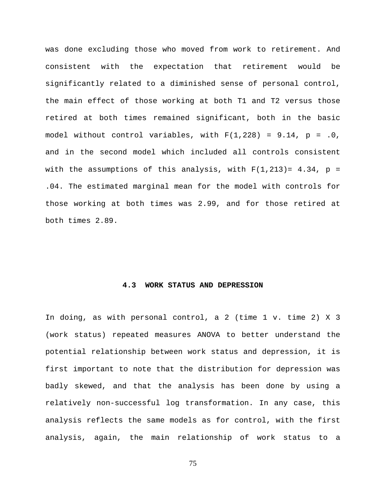was done excluding those who moved from work to retirement. And consistent with the expectation that retirement would be significantly related to a diminished sense of personal control, the main effect of those working at both T1 and T2 versus those retired at both times remained significant, both in the basic model without control variables, with  $F(1,228) = 9.14$ ,  $p = .0$ , and in the second model which included all controls consistent with the assumptions of this analysis, with  $F(1,213)=4.34$ ,  $p=$ .04. The estimated marginal mean for the model with controls for those working at both times was 2.99, and for those retired at both times 2.89.

## **4.3 WORK STATUS AND DEPRESSION**

In doing, as with personal control, a 2 (time 1 v. time 2) X 3 (work status) repeated measures ANOVA to better understand the potential relationship between work status and depression, it is first important to note that the distribution for depression was badly skewed, and that the analysis has been done by using a relatively non-successful log transformation. In any case, this analysis reflects the same models as for control, with the first analysis, again, the main relationship of work status to a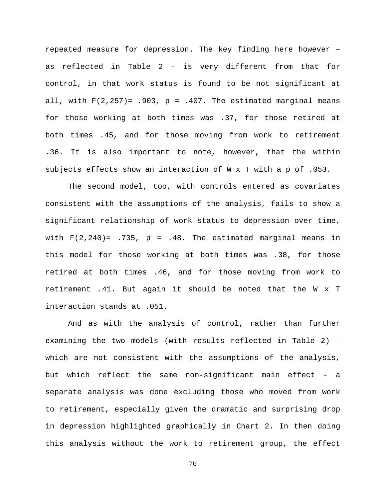repeated measure for depression. The key finding here however – as reflected in Table 2 - is very different from that for control, in that work status is found to be not significant at all, with  $F(2,257) = .903$ ,  $p = .407$ . The estimated marginal means for those working at both times was .37, for those retired at both times .45, and for those moving from work to retirement .36. It is also important to note, however, that the within subjects effects show an interaction of W x T with a p of .053.

The second model, too, with controls entered as covariates consistent with the assumptions of the analysis, fails to show a significant relationship of work status to depression over time, with  $F(2,240) = .735$ ,  $p = .48$ . The estimated marginal means in this model for those working at both times was .38, for those retired at both times .46, and for those moving from work to retirement .41. But again it should be noted that the W x T interaction stands at .051.

And as with the analysis of control, rather than further examining the two models (with results reflected in Table 2) which are not consistent with the assumptions of the analysis, but which reflect the same non-significant main effect - a separate analysis was done excluding those who moved from work to retirement, especially given the dramatic and surprising drop in depression highlighted graphically in Chart 2. In then doing this analysis without the work to retirement group, the effect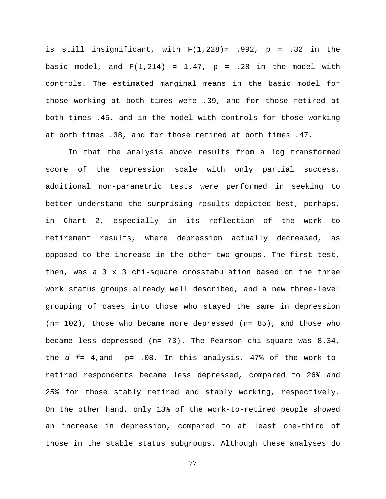is still insignificant, with  $F(1,228) = .992$ ,  $p = .32$  in the basic model, and  $F(1,214) = 1.47$ ,  $p = .28$  in the model with controls. The estimated marginal means in the basic model for those working at both times were .39, and for those retired at both times .45, and in the model with controls for those working at both times .38, and for those retired at both times .47.

In that the analysis above results from a log transformed score of the depression scale with only partial success, additional non-parametric tests were performed in seeking to better understand the surprising results depicted best, perhaps, in Chart 2, especially in its reflection of the work to retirement results, where depression actually decreased, as opposed to the increase in the other two groups. The first test, then, was a 3 x 3 chi-square crosstabulation based on the three work status groups already well described, and a new three-level grouping of cases into those who stayed the same in depression (n= 102), those who became more depressed (n= 85), and those who became less depressed  $(n= 73)$ . The Pearson chi-square was  $8.34$ , the *d f*= 4,and p= .08. In this analysis, 47% of the work-toretired respondents became less depressed, compared to 26% and 25% for those stably retired and stably working, respectively. On the other hand, only 13% of the work-to-retired people showed an increase in depression, compared to at least one-third of those in the stable status subgroups. Although these analyses do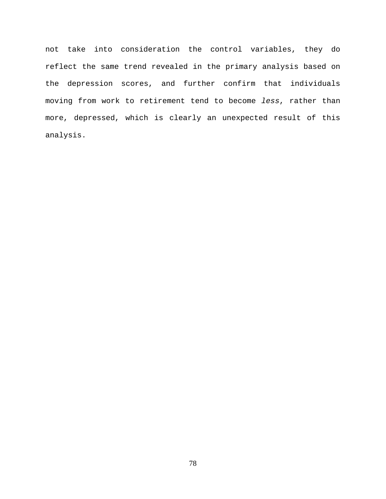not take into consideration the control variables, they do reflect the same trend revealed in the primary analysis based on the depression scores, and further confirm that individuals moving from work to retirement tend to become *less*, rather than more, depressed, which is clearly an unexpected result of this analysis.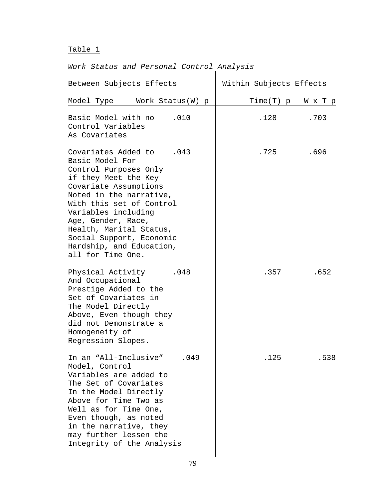#### Table 1

# *Work Status and Personal Control Analysis*  Between Subjects Effects Within Subjects Effects Model Type Work Status(W) p | Time(T) p W x T p Basic Model with no .010 | .128 .703 Control Variables As Covariates Covariates Added to .043 .725 .696 Basic Model For Control Purposes Only if they Meet the Key Covariate Assumptions Noted in the narrative, With this set of Control Variables including Age, Gender, Race, Health, Marital Status, Social Support, Economic Hardship, and Education, all for Time One. Physical Activity .048 .357 .652 And Occupational Prestige Added to the Set of Covariates in The Model Directly Above, Even though they did not Demonstrate a Homogeneity of Regression Slopes. In an "All-Inclusive" .049 .125 .538 Model, Control Variables are added to The Set of Covariates In the Model Directly Above for Time Two as Well as for Time One, Even though, as noted in the narrative, they

may further lessen the Integrity of the Analysis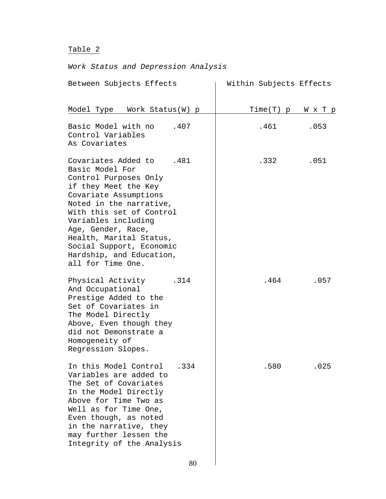# Table 2

# *Work Status and Depression Analysis*

| Between Subjects Effects                                                                                                                                                                                                                                                                                                             | Within Subjects Effects |      |
|--------------------------------------------------------------------------------------------------------------------------------------------------------------------------------------------------------------------------------------------------------------------------------------------------------------------------------------|-------------------------|------|
| Model Type Work Status (W) p                                                                                                                                                                                                                                                                                                         | $Time(T)$ p             | WхТр |
| Basic Model with no<br>.407<br>Control Variables<br>As Covariates                                                                                                                                                                                                                                                                    | .461                    | .053 |
| Covariates Added to<br>.481<br>Basic Model For<br>Control Purposes Only<br>if they Meet the Key<br>Covariate Assumptions<br>Noted in the narrative,<br>With this set of Control<br>Variables including<br>Age, Gender, Race,<br>Health, Marital Status,<br>Social Support, Economic<br>Hardship, and Education,<br>all for Time One. | .332                    | .051 |
| Physical Activity<br>.314<br>And Occupational<br>Prestige Added to the<br>Set of Covariates in<br>The Model Directly<br>Above, Even though they<br>did not Demonstrate a<br>Homogeneity of<br>Regression Slopes.                                                                                                                     | .464                    | .057 |
| In this Model Control<br>.334<br>Variables are added to<br>The Set of Covariates<br>In the Model Directly<br>Above for Time Two as<br>Well as for Time One,<br>Even though, as noted<br>in the narrative, they<br>may further lessen the<br>Integrity of the Analysis                                                                | .580                    | .025 |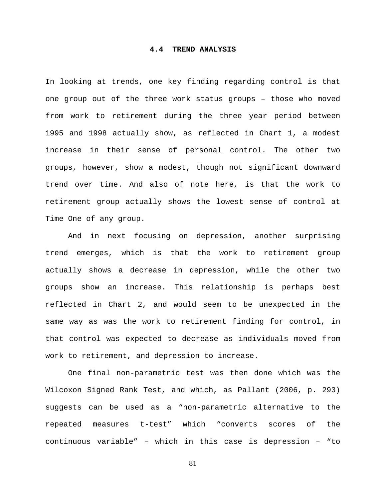## **4.4 TREND ANALYSIS**

In looking at trends, one key finding regarding control is that one group out of the three work status groups – those who moved from work to retirement during the three year period between 1995 and 1998 actually show, as reflected in Chart 1, a modest increase in their sense of personal control. The other two groups, however, show a modest, though not significant downward trend over time. And also of note here, is that the work to retirement group actually shows the lowest sense of control at Time One of any group.

And in next focusing on depression, another surprising trend emerges, which is that the work to retirement group actually shows a decrease in depression, while the other two groups show an increase. This relationship is perhaps best reflected in Chart 2, and would seem to be unexpected in the same way as was the work to retirement finding for control, in that control was expected to decrease as individuals moved from work to retirement, and depression to increase.

One final non-parametric test was then done which was the Wilcoxon Signed Rank Test, and which, as Pallant (2006, p. 293) suggests can be used as a "non-parametric alternative to the repeated measures t-test" which "converts scores of the continuous variable" – which in this case is depression – "to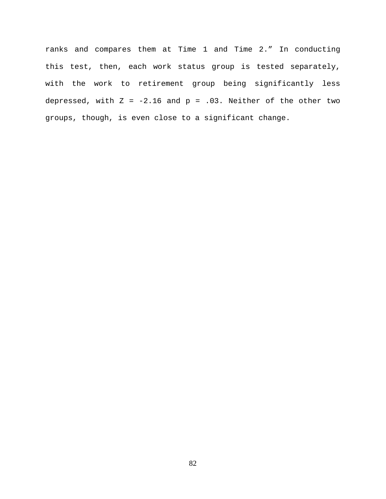ranks and compares them at Time 1 and Time 2." In conducting this test, then, each work status group is tested separately, with the work to retirement group being significantly less depressed, with  $Z = -2.16$  and  $p = .03$ . Neither of the other two groups, though, is even close to a significant change.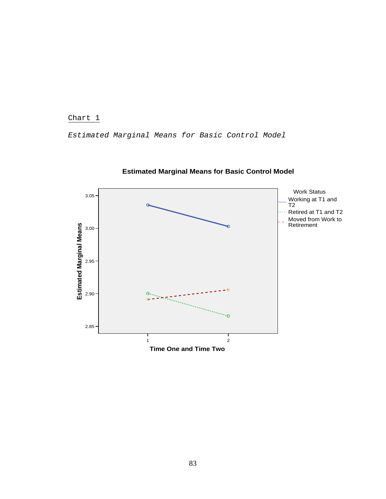Chart 1

*Estimated Marginal Means for Basic Control Model* 



# **Estimated Marginal Means for Basic Control Model**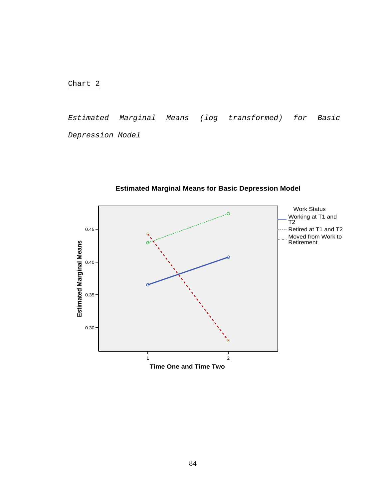Chart 2

*Estimated Marginal Means (log transformed) for Basic Depression Model* 



**Estimated Marginal Means for Basic Depression Model**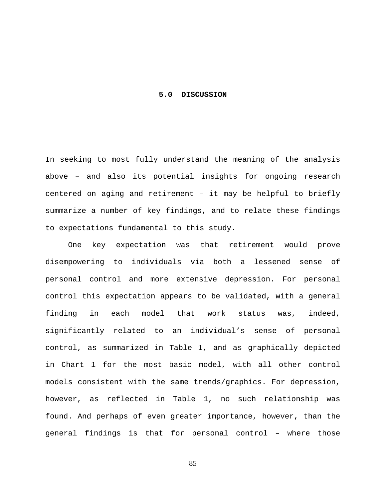#### **5.0 DISCUSSION**

In seeking to most fully understand the meaning of the analysis above – and also its potential insights for ongoing research centered on aging and retirement – it may be helpful to briefly summarize a number of key findings, and to relate these findings to expectations fundamental to this study.

One key expectation was that retirement would prove disempowering to individuals via both a lessened sense of personal control and more extensive depression. For personal control this expectation appears to be validated, with a general finding in each model that work status was, indeed, significantly related to an individual's sense of personal control, as summarized in Table 1, and as graphically depicted in Chart 1 for the most basic model, with all other control models consistent with the same trends/graphics. For depression, however, as reflected in Table 1, no such relationship was found. And perhaps of even greater importance, however, than the general findings is that for personal control – where those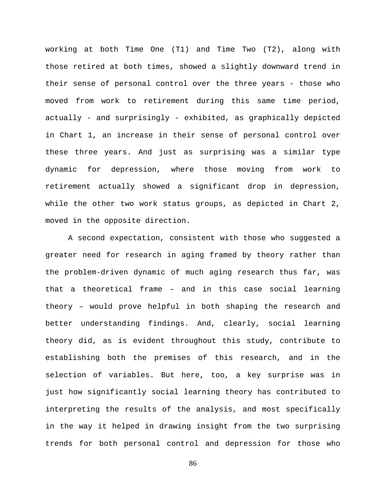working at both Time One (T1) and Time Two (T2), along with those retired at both times, showed a slightly downward trend in their sense of personal control over the three years - those who moved from work to retirement during this same time period, actually - and surprisingly - exhibited, as graphically depicted in Chart 1, an increase in their sense of personal control over these three years. And just as surprising was a similar type dynamic for depression, where those moving from work to retirement actually showed a significant drop in depression, while the other two work status groups, as depicted in Chart 2, moved in the opposite direction.

A second expectation, consistent with those who suggested a greater need for research in aging framed by theory rather than the problem-driven dynamic of much aging research thus far, was that a theoretical frame – and in this case social learning theory – would prove helpful in both shaping the research and better understanding findings. And, clearly, social learning theory did, as is evident throughout this study, contribute to establishing both the premises of this research, and in the selection of variables. But here, too, a key surprise was in just how significantly social learning theory has contributed to interpreting the results of the analysis, and most specifically in the way it helped in drawing insight from the two surprising trends for both personal control and depression for those who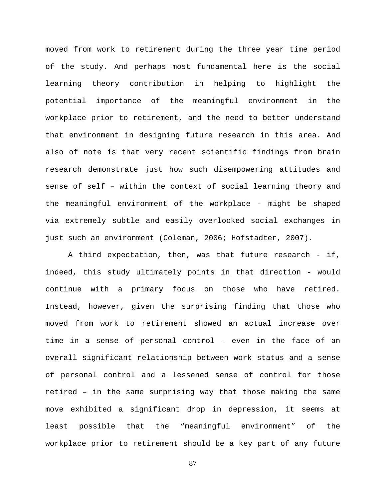moved from work to retirement during the three year time period of the study. And perhaps most fundamental here is the social learning theory contribution in helping to highlight the potential importance of the meaningful environment in the workplace prior to retirement, and the need to better understand that environment in designing future research in this area. And also of note is that very recent scientific findings from brain research demonstrate just how such disempowering attitudes and sense of self – within the context of social learning theory and the meaningful environment of the workplace - might be shaped via extremely subtle and easily overlooked social exchanges in just such an environment (Coleman, 2006; Hofstadter, 2007).

A third expectation, then, was that future research - if, indeed, this study ultimately points in that direction - would continue with a primary focus on those who have retired. Instead, however, given the surprising finding that those who moved from work to retirement showed an actual increase over time in a sense of personal control - even in the face of an overall significant relationship between work status and a sense of personal control and a lessened sense of control for those retired – in the same surprising way that those making the same move exhibited a significant drop in depression, it seems at least possible that the "meaningful environment" of the workplace prior to retirement should be a key part of any future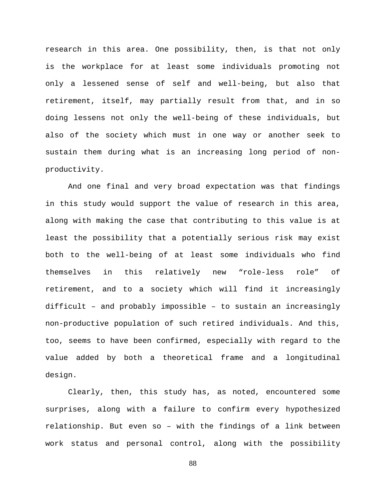research in this area. One possibility, then, is that not only is the workplace for at least some individuals promoting not only a lessened sense of self and well-being, but also that retirement, itself, may partially result from that, and in so doing lessens not only the well-being of these individuals, but also of the society which must in one way or another seek to sustain them during what is an increasing long period of nonproductivity.

And one final and very broad expectation was that findings in this study would support the value of research in this area, along with making the case that contributing to this value is at least the possibility that a potentially serious risk may exist both to the well-being of at least some individuals who find themselves in this relatively new "role-less role" of retirement, and to a society which will find it increasingly difficult – and probably impossible – to sustain an increasingly non-productive population of such retired individuals. And this, too, seems to have been confirmed, especially with regard to the value added by both a theoretical frame and a longitudinal design.

Clearly, then, this study has, as noted, encountered some surprises, along with a failure to confirm every hypothesized relationship. But even so – with the findings of a link between work status and personal control, along with the possibility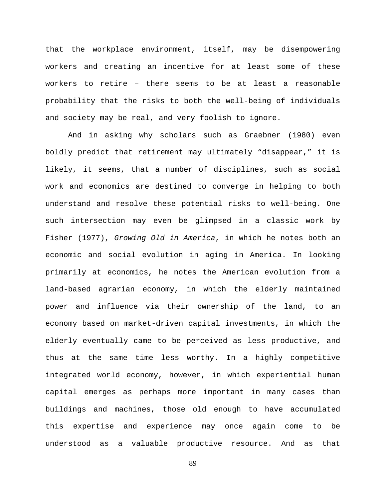that the workplace environment, itself, may be disempowering workers and creating an incentive for at least some of these workers to retire – there seems to be at least a reasonable probability that the risks to both the well-being of individuals and society may be real, and very foolish to ignore.

And in asking why scholars such as Graebner (1980) even boldly predict that retirement may ultimately "disappear," it is likely, it seems, that a number of disciplines, such as social work and economics are destined to converge in helping to both understand and resolve these potential risks to well-being. One such intersection may even be glimpsed in a classic work by Fisher (1977), *Growing Old in America*, in which he notes both an economic and social evolution in aging in America. In looking primarily at economics, he notes the American evolution from a land-based agrarian economy, in which the elderly maintained power and influence via their ownership of the land, to an economy based on market-driven capital investments, in which the elderly eventually came to be perceived as less productive, and thus at the same time less worthy. In a highly competitive integrated world economy, however, in which experiential human capital emerges as perhaps more important in many cases than buildings and machines, those old enough to have accumulated this expertise and experience may once again come to be understood as a valuable productive resource. And as that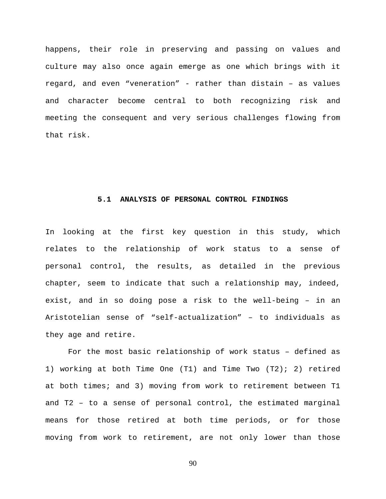happens, their role in preserving and passing on values and culture may also once again emerge as one which brings with it regard, and even "veneration" - rather than distain – as values and character become central to both recognizing risk and meeting the consequent and very serious challenges flowing from that risk.

## **5.1 ANALYSIS OF PERSONAL CONTROL FINDINGS**

In looking at the first key question in this study, which relates to the relationship of work status to a sense of personal control, the results, as detailed in the previous chapter, seem to indicate that such a relationship may, indeed, exist, and in so doing pose a risk to the well-being – in an Aristotelian sense of "self-actualization" – to individuals as they age and retire.

For the most basic relationship of work status – defined as 1) working at both Time One (T1) and Time Two (T2); 2) retired at both times; and 3) moving from work to retirement between T1 and T2 – to a sense of personal control, the estimated marginal means for those retired at both time periods, or for those moving from work to retirement, are not only lower than those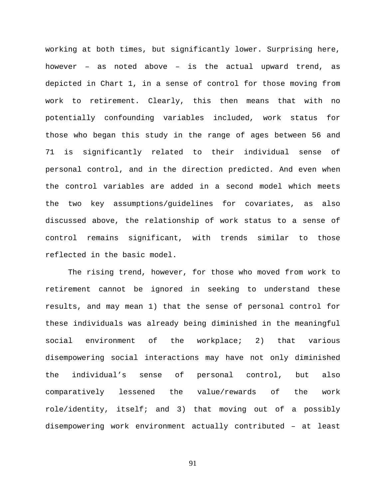working at both times, but significantly lower. Surprising here, however – as noted above – is the actual upward trend, as depicted in Chart 1, in a sense of control for those moving from work to retirement. Clearly, this then means that with no potentially confounding variables included, work status for those who began this study in the range of ages between 56 and 71 is significantly related to their individual sense of personal control, and in the direction predicted. And even when the control variables are added in a second model which meets the two key assumptions/guidelines for covariates, as also discussed above, the relationship of work status to a sense of control remains significant, with trends similar to those reflected in the basic model.

The rising trend, however, for those who moved from work to retirement cannot be ignored in seeking to understand these results, and may mean 1) that the sense of personal control for these individuals was already being diminished in the meaningful social environment of the workplace; 2) that various disempowering social interactions may have not only diminished the individual's sense of personal control, but also comparatively lessened the value/rewards of the work role/identity, itself; and 3) that moving out of a possibly disempowering work environment actually contributed – at least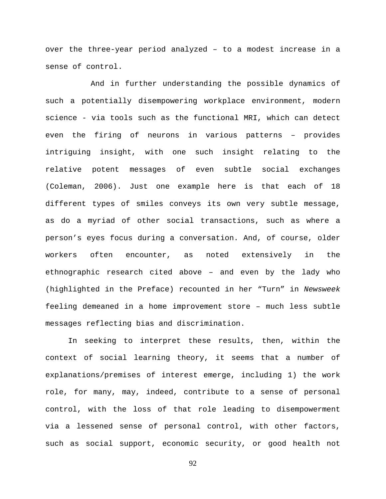over the three-year period analyzed – to a modest increase in a sense of control.

 And in further understanding the possible dynamics of such a potentially disempowering workplace environment, modern science - via tools such as the functional MRI, which can detect even the firing of neurons in various patterns – provides intriguing insight, with one such insight relating to the relative potent messages of even subtle social exchanges (Coleman, 2006). Just one example here is that each of 18 different types of smiles conveys its own very subtle message, as do a myriad of other social transactions, such as where a person's eyes focus during a conversation. And, of course, older workers often encounter, as noted extensively in the ethnographic research cited above – and even by the lady who (highlighted in the Preface) recounted in her "Turn" in *Newsweek* feeling demeaned in a home improvement store – much less subtle messages reflecting bias and discrimination.

In seeking to interpret these results, then, within the context of social learning theory, it seems that a number of explanations/premises of interest emerge, including 1) the work role, for many, may, indeed, contribute to a sense of personal control, with the loss of that role leading to disempowerment via a lessened sense of personal control, with other factors, such as social support, economic security, or good health not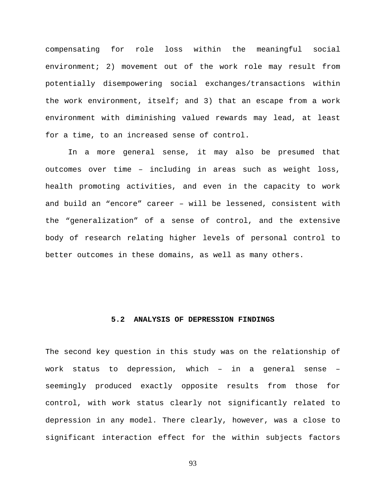compensating for role loss within the meaningful social environment; 2) movement out of the work role may result from potentially disempowering social exchanges/transactions within the work environment, itself; and 3) that an escape from a work environment with diminishing valued rewards may lead, at least for a time, to an increased sense of control.

In a more general sense, it may also be presumed that outcomes over time – including in areas such as weight loss, health promoting activities, and even in the capacity to work and build an "encore" career – will be lessened, consistent with the "generalization" of a sense of control, and the extensive body of research relating higher levels of personal control to better outcomes in these domains, as well as many others.

# **5.2 ANALYSIS OF DEPRESSION FINDINGS**

The second key question in this study was on the relationship of work status to depression, which – in a general sense – seemingly produced exactly opposite results from those for control, with work status clearly not significantly related to depression in any model. There clearly, however, was a close to significant interaction effect for the within subjects factors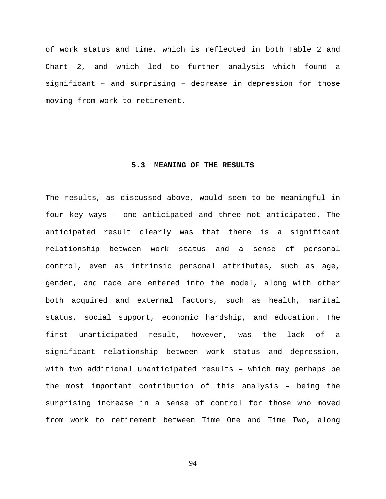of work status and time, which is reflected in both Table 2 and Chart 2, and which led to further analysis which found a significant – and surprising – decrease in depression for those moving from work to retirement.

#### **5.3 MEANING OF THE RESULTS**

The results, as discussed above, would seem to be meaningful in four key ways – one anticipated and three not anticipated. The anticipated result clearly was that there is a significant relationship between work status and a sense of personal control, even as intrinsic personal attributes, such as age, gender, and race are entered into the model, along with other both acquired and external factors, such as health, marital status, social support, economic hardship, and education. The first unanticipated result, however, was the lack of a significant relationship between work status and depression, with two additional unanticipated results – which may perhaps be the most important contribution of this analysis – being the surprising increase in a sense of control for those who moved from work to retirement between Time One and Time Two, along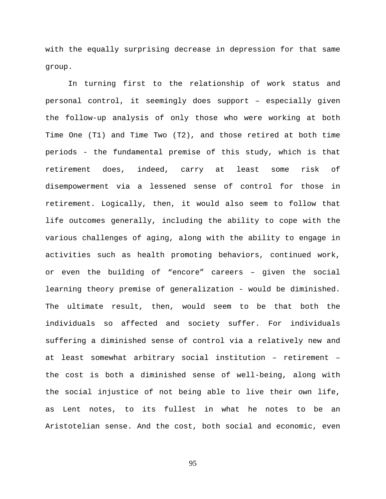with the equally surprising decrease in depression for that same group.

In turning first to the relationship of work status and personal control, it seemingly does support – especially given the follow-up analysis of only those who were working at both Time One (T1) and Time Two (T2), and those retired at both time periods - the fundamental premise of this study, which is that retirement does, indeed, carry at least some risk of disempowerment via a lessened sense of control for those in retirement. Logically, then, it would also seem to follow that life outcomes generally, including the ability to cope with the various challenges of aging, along with the ability to engage in activities such as health promoting behaviors, continued work, or even the building of "encore" careers – given the social learning theory premise of generalization - would be diminished. The ultimate result, then, would seem to be that both the individuals so affected and society suffer. For individuals suffering a diminished sense of control via a relatively new and at least somewhat arbitrary social institution – retirement – the cost is both a diminished sense of well-being, along with the social injustice of not being able to live their own life, as Lent notes, to its fullest in what he notes to be an Aristotelian sense. And the cost, both social and economic, even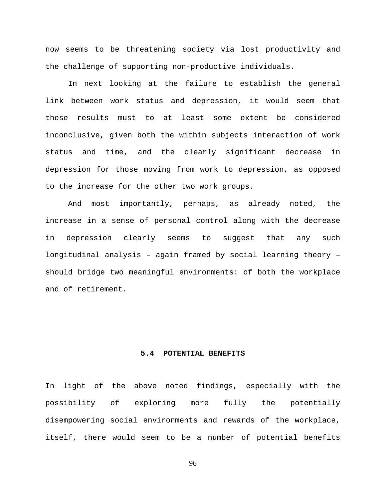now seems to be threatening society via lost productivity and the challenge of supporting non-productive individuals.

In next looking at the failure to establish the general link between work status and depression, it would seem that these results must to at least some extent be considered inconclusive, given both the within subjects interaction of work status and time, and the clearly significant decrease in depression for those moving from work to depression, as opposed to the increase for the other two work groups.

And most importantly, perhaps, as already noted, the increase in a sense of personal control along with the decrease in depression clearly seems to suggest that any such longitudinal analysis – again framed by social learning theory – should bridge two meaningful environments: of both the workplace and of retirement.

# **5.4 POTENTIAL BENEFITS**

In light of the above noted findings, especially with the possibility of exploring more fully the potentially disempowering social environments and rewards of the workplace, itself, there would seem to be a number of potential benefits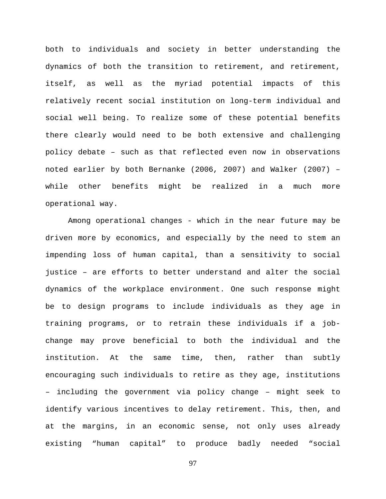both to individuals and society in better understanding the dynamics of both the transition to retirement, and retirement, itself, as well as the myriad potential impacts of this relatively recent social institution on long-term individual and social well being. To realize some of these potential benefits there clearly would need to be both extensive and challenging policy debate – such as that reflected even now in observations noted earlier by both Bernanke (2006, 2007) and Walker (2007) – while other benefits might be realized in a much more operational way.

Among operational changes - which in the near future may be driven more by economics, and especially by the need to stem an impending loss of human capital, than a sensitivity to social justice – are efforts to better understand and alter the social dynamics of the workplace environment. One such response might be to design programs to include individuals as they age in training programs, or to retrain these individuals if a jobchange may prove beneficial to both the individual and the institution. At the same time, then, rather than subtly encouraging such individuals to retire as they age, institutions – including the government via policy change – might seek to identify various incentives to delay retirement. This, then, and at the margins, in an economic sense, not only uses already existing "human capital" to produce badly needed "social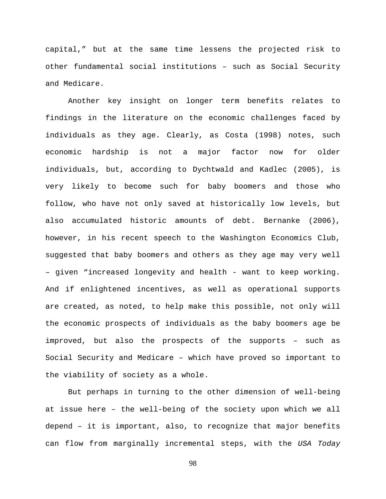capital," but at the same time lessens the projected risk to other fundamental social institutions – such as Social Security and Medicare.

Another key insight on longer term benefits relates to findings in the literature on the economic challenges faced by individuals as they age. Clearly, as Costa (1998) notes, such economic hardship is not a major factor now for older individuals, but, according to Dychtwald and Kadlec (2005), is very likely to become such for baby boomers and those who follow, who have not only saved at historically low levels, but also accumulated historic amounts of debt. Bernanke (2006), however, in his recent speech to the Washington Economics Club, suggested that baby boomers and others as they age may very well – given "increased longevity and health - want to keep working. And if enlightened incentives, as well as operational supports are created, as noted, to help make this possible, not only will the economic prospects of individuals as the baby boomers age be improved, but also the prospects of the supports – such as Social Security and Medicare – which have proved so important to the viability of society as a whole.

But perhaps in turning to the other dimension of well-being at issue here – the well-being of the society upon which we all depend – it is important, also, to recognize that major benefits can flow from marginally incremental steps, with the *USA Today*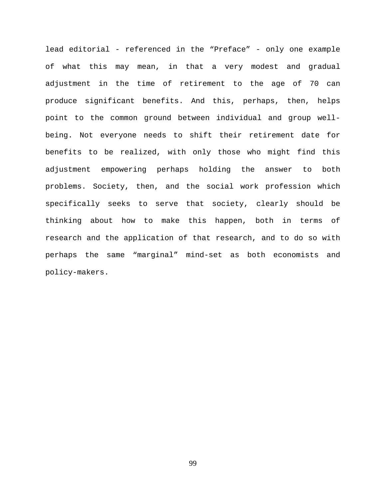lead editorial - referenced in the "Preface" - only one example of what this may mean, in that a very modest and gradual adjustment in the time of retirement to the age of 70 can produce significant benefits. And this, perhaps, then, helps point to the common ground between individual and group wellbeing. Not everyone needs to shift their retirement date for benefits to be realized, with only those who might find this adjustment empowering perhaps holding the answer to both problems. Society, then, and the social work profession which specifically seeks to serve that society, clearly should be thinking about how to make this happen, both in terms of research and the application of that research, and to do so with perhaps the same "marginal" mind-set as both economists and policy-makers.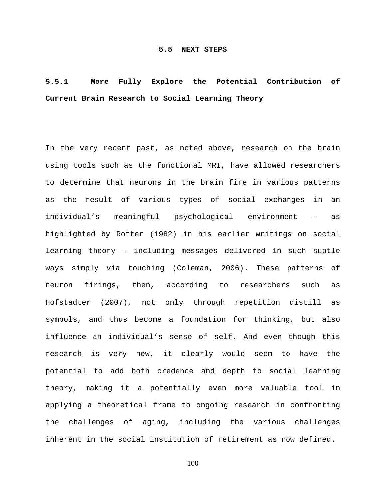# **5.5.1 More Fully Explore the Potential Contribution of Current Brain Research to Social Learning Theory**

In the very recent past, as noted above, research on the brain using tools such as the functional MRI, have allowed researchers to determine that neurons in the brain fire in various patterns as the result of various types of social exchanges in an individual's meaningful psychological environment – as highlighted by Rotter (1982) in his earlier writings on social learning theory - including messages delivered in such subtle ways simply via touching (Coleman, 2006). These patterns of neuron firings, then, according to researchers such as Hofstadter (2007), not only through repetition distill as symbols, and thus become a foundation for thinking, but also influence an individual's sense of self. And even though this research is very new, it clearly would seem to have the potential to add both credence and depth to social learning theory, making it a potentially even more valuable tool in applying a theoretical frame to ongoing research in confronting the challenges of aging, including the various challenges inherent in the social institution of retirement as now defined.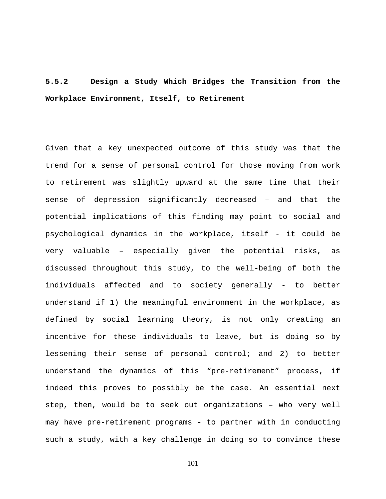# **5.5.2 Design a Study Which Bridges the Transition from the Workplace Environment, Itself, to Retirement**

Given that a key unexpected outcome of this study was that the trend for a sense of personal control for those moving from work to retirement was slightly upward at the same time that their sense of depression significantly decreased – and that the potential implications of this finding may point to social and psychological dynamics in the workplace, itself - it could be very valuable – especially given the potential risks, as discussed throughout this study, to the well-being of both the individuals affected and to society generally - to better understand if 1) the meaningful environment in the workplace, as defined by social learning theory, is not only creating an incentive for these individuals to leave, but is doing so by lessening their sense of personal control; and 2) to better understand the dynamics of this "pre-retirement" process, if indeed this proves to possibly be the case. An essential next step, then, would be to seek out organizations – who very well may have pre-retirement programs - to partner with in conducting such a study, with a key challenge in doing so to convince these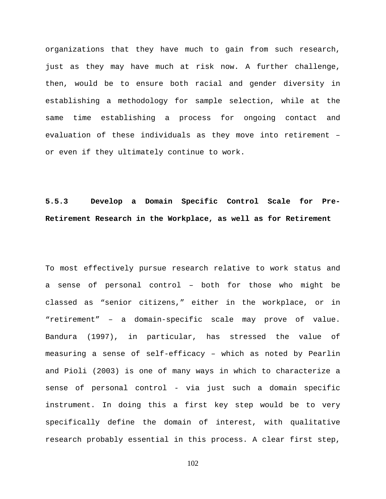organizations that they have much to gain from such research, just as they may have much at risk now. A further challenge, then, would be to ensure both racial and gender diversity in establishing a methodology for sample selection, while at the same time establishing a process for ongoing contact and evaluation of these individuals as they move into retirement – or even if they ultimately continue to work.

**5.5.3 Develop a Domain Specific Control Scale for Pre-Retirement Research in the Workplace, as well as for Retirement** 

To most effectively pursue research relative to work status and a sense of personal control – both for those who might be classed as "senior citizens," either in the workplace, or in "retirement" – a domain-specific scale may prove of value. Bandura (1997), in particular, has stressed the value of measuring a sense of self-efficacy – which as noted by Pearlin and Pioli (2003) is one of many ways in which to characterize a sense of personal control - via just such a domain specific instrument. In doing this a first key step would be to very specifically define the domain of interest, with qualitative research probably essential in this process. A clear first step,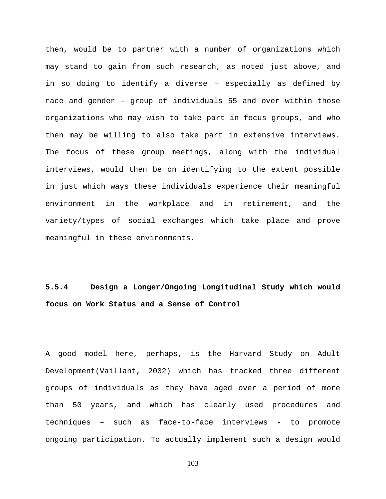then, would be to partner with a number of organizations which may stand to gain from such research, as noted just above, and in so doing to identify a diverse – especially as defined by race and gender - group of individuals 55 and over within those organizations who may wish to take part in focus groups, and who then may be willing to also take part in extensive interviews. The focus of these group meetings, along with the individual interviews, would then be on identifying to the extent possible in just which ways these individuals experience their meaningful environment in the workplace and in retirement, and the variety/types of social exchanges which take place and prove meaningful in these environments.

**5.5.4 Design a Longer/Ongoing Longitudinal Study which would focus on Work Status and a Sense of Control** 

A good model here, perhaps, is the Harvard Study on Adult Development(Vaillant, 2002) which has tracked three different groups of individuals as they have aged over a period of more than 50 years, and which has clearly used procedures and techniques – such as face-to-face interviews - to promote ongoing participation. To actually implement such a design would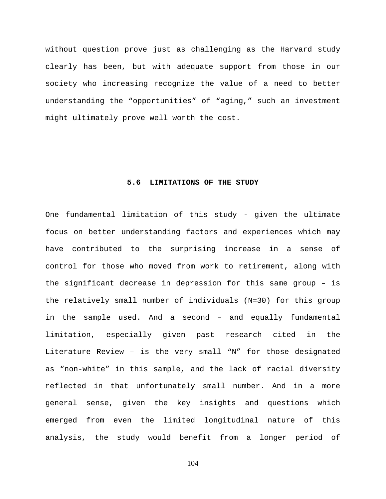without question prove just as challenging as the Harvard study clearly has been, but with adequate support from those in our society who increasing recognize the value of a need to better understanding the "opportunities" of "aging," such an investment might ultimately prove well worth the cost.

#### **5.6 LIMITATIONS OF THE STUDY**

One fundamental limitation of this study - given the ultimate focus on better understanding factors and experiences which may have contributed to the surprising increase in a sense of control for those who moved from work to retirement, along with the significant decrease in depression for this same group – is the relatively small number of individuals (N=30) for this group in the sample used. And a second – and equally fundamental limitation, especially given past research cited in the Literature Review – is the very small "N" for those designated as "non-white" in this sample, and the lack of racial diversity reflected in that unfortunately small number. And in a more general sense, given the key insights and questions which emerged from even the limited longitudinal nature of this analysis, the study would benefit from a longer period of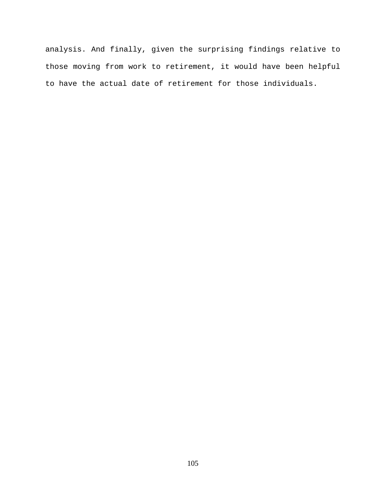analysis. And finally, given the surprising findings relative to those moving from work to retirement, it would have been helpful to have the actual date of retirement for those individuals.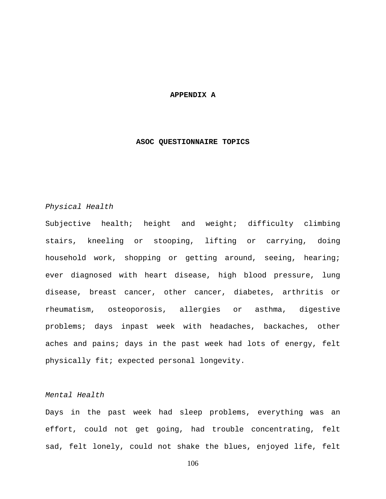#### **APPENDIX A**

## **ASOC QUESTIONNAIRE TOPICS**

# *Physical Health*

Subjective health; height and weight; difficulty climbing stairs, kneeling or stooping, lifting or carrying, doing household work, shopping or getting around, seeing, hearing; ever diagnosed with heart disease, high blood pressure, lung disease, breast cancer, other cancer, diabetes, arthritis or rheumatism, osteoporosis, allergies or asthma, digestive problems; days inpast week with headaches, backaches, other aches and pains; days in the past week had lots of energy, felt physically fit; expected personal longevity.

## *Mental Health*

Days in the past week had sleep problems, everything was an effort, could not get going, had trouble concentrating, felt sad, felt lonely, could not shake the blues, enjoyed life, felt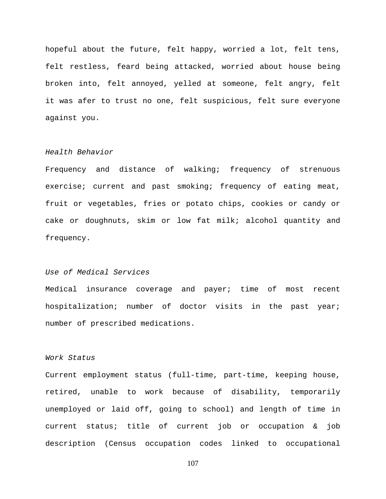hopeful about the future, felt happy, worried a lot, felt tens, felt restless, feard being attacked, worried about house being broken into, felt annoyed, yelled at someone, felt angry, felt it was afer to trust no one, felt suspicious, felt sure everyone against you.

# *Health Behavior*

Frequency and distance of walking; frequency of strenuous exercise; current and past smoking; frequency of eating meat, fruit or vegetables, fries or potato chips, cookies or candy or cake or doughnuts, skim or low fat milk; alcohol quantity and frequency.

## *Use of Medical Services*

Medical insurance coverage and payer; time of most recent hospitalization; number of doctor visits in the past year; number of prescribed medications.

## *Work Status*

Current employment status (full-time, part-time, keeping house, retired, unable to work because of disability, temporarily unemployed or laid off, going to school) and length of time in current status; title of current job or occupation & job description (Census occupation codes linked to occupational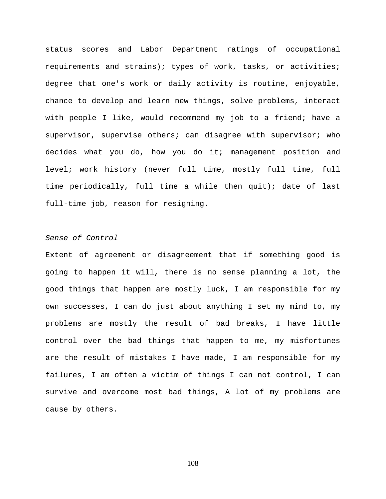status scores and Labor Department ratings of occupational requirements and strains); types of work, tasks, or activities; degree that one's work or daily activity is routine, enjoyable, chance to develop and learn new things, solve problems, interact with people I like, would recommend my job to a friend; have a supervisor, supervise others; can disagree with supervisor; who decides what you do, how you do it; management position and level; work history (never full time, mostly full time, full time periodically, full time a while then quit); date of last full-time job, reason for resigning.

## *Sense of Control*

Extent of agreement or disagreement that if something good is going to happen it will, there is no sense planning a lot, the good things that happen are mostly luck, I am responsible for my own successes, I can do just about anything I set my mind to, my problems are mostly the result of bad breaks, I have little control over the bad things that happen to me, my misfortunes are the result of mistakes I have made, I am responsible for my failures, I am often a victim of things I can not control, I can survive and overcome most bad things, A lot of my problems are cause by others.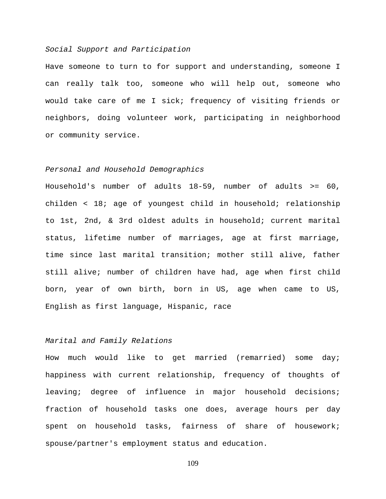#### *Social Support and Participation*

Have someone to turn to for support and understanding, someone I can really talk too, someone who will help out, someone who would take care of me I sick; frequency of visiting friends or neighbors, doing volunteer work, participating in neighborhood or community service.

#### *Personal and Household Demographics*

Household's number of adults 18-59, number of adults >= 60, childen < 18; age of youngest child in household; relationship to 1st, 2nd, & 3rd oldest adults in household; current marital status, lifetime number of marriages, age at first marriage, time since last marital transition; mother still alive, father still alive; number of children have had, age when first child born, year of own birth, born in US, age when came to US, English as first language, Hispanic, race

## *Marital and Family Relations*

How much would like to get married (remarried) some day; happiness with current relationship, frequency of thoughts of leaving; degree of influence in major household decisions; fraction of household tasks one does, average hours per day spent on household tasks, fairness of share of housework; spouse/partner's employment status and education.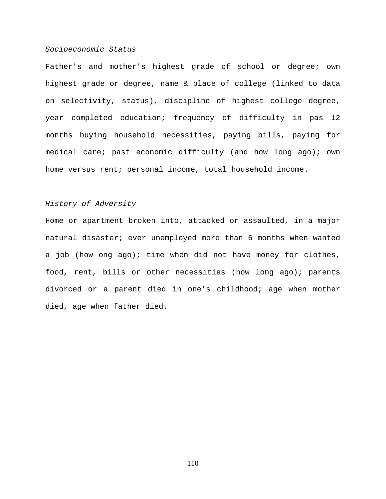#### *Socioeconomic Status*

Father's and mother's highest grade of school or degree; own highest grade or degree, name & place of college (linked to data on selectivity, status), discipline of highest college degree, year completed education; frequency of difficulty in pas 12 months buying household necessities, paying bills, paying for medical care; past economic difficulty (and how long ago); own home versus rent; personal income, total household income.

## *History of Adversity*

Home or apartment broken into, attacked or assaulted, in a major natural disaster; ever unemployed more than 6 months when wanted a job (how ong ago); time when did not have money for clothes, food, rent, bills or other necessities (how long ago); parents divorced or a parent died in one's childhood; age when mother died, age when father died.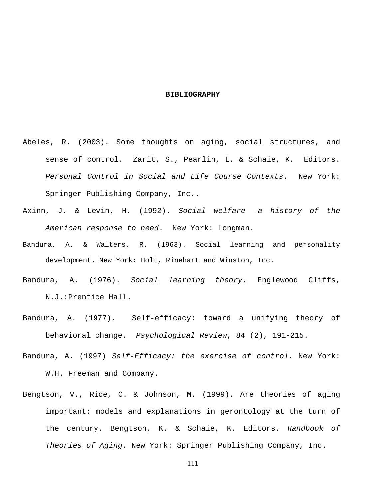#### **BIBLIOGRAPHY**

- Abeles, R. (2003). Some thoughts on aging, social structures, and sense of control. Zarit, S., Pearlin, L. & Schaie, K. Editors. *Personal Control in Social and Life Course Contexts*. New York: Springer Publishing Company, Inc..
- Axinn, J. & Levin, H. (1992). *Social welfare –a history of the American response to need*. New York: Longman.
- Bandura, A. & Walters, R. (1963). Social learning and personality development. New York: Holt, Rinehart and Winston, Inc.
- Bandura, A. (1976). *Social learning theory*. Englewood Cliffs, N.J.:Prentice Hall.
- Bandura, A. (1977). Self-efficacy: toward a unifying theory of behavioral change. *Psychological Review*, 84 (2), 191-215.
- Bandura, A. (1997) *Self-Efficacy: the exercise of control*. New York: W.H. Freeman and Company.
- Bengtson, V., Rice, C. & Johnson, M. (1999). Are theories of aging important: models and explanations in gerontology at the turn of the century. Bengtson, K. & Schaie, K. Editors. *Handbook of Theories of Aging*. New York: Springer Publishing Company, Inc.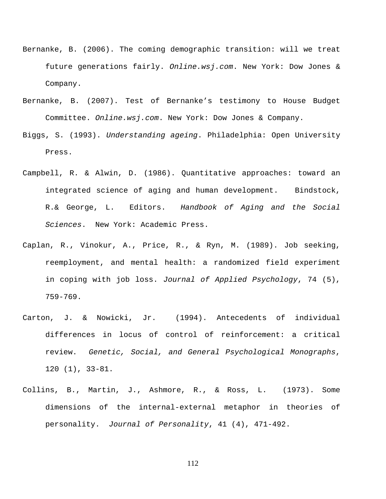- Bernanke, B. (2006). The coming demographic transition: will we treat future generations fairly. *Online.wsj.com*. New York: Dow Jones & Company.
- Bernanke, B. (2007). Test of Bernanke's testimony to House Budget Committee. *Online.wsj.com*. New York: Dow Jones & Company.
- Biggs, S. (1993). *Understanding ageing*. Philadelphia: Open University Press.
- Campbell, R. & Alwin, D. (1986). Quantitative approaches: toward an integrated science of aging and human development. Bindstock, R.& George, L. Editors. *Handbook of Aging and the Social Sciences*. New York: Academic Press.
- Caplan, R., Vinokur, A., Price, R., & Ryn, M. (1989). Job seeking, reemployment, and mental health: a randomized field experiment in coping with job loss. *Journal of Applied Psychology*, 74 (5), 759-769.
- Carton, J. & Nowicki, Jr. (1994). Antecedents of individual differences in locus of control of reinforcement: a critical review. *Genetic, Social, and General Psychological Monographs*, 120 (1), 33-81.
- Collins, B., Martin, J., Ashmore, R., & Ross, L. (1973). Some dimensions of the internal-external metaphor in theories of personality. *Journal of Personality*, 41 (4), 471-492.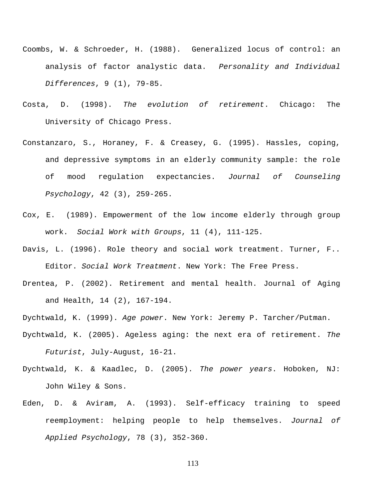- Coombs, W. & Schroeder, H. (1988). Generalized locus of control: an analysis of factor analystic data. *Personality and Individual Differences*, 9 (1), 79-85.
- Costa, D. (1998). *The evolution of retirement*. Chicago: The University of Chicago Press.
- Constanzaro, S., Horaney, F. & Creasey, G. (1995). Hassles, coping, and depressive symptoms in an elderly community sample: the role of mood regulation expectancies. *Journal of Counseling Psychology*, 42 (3), 259-265.
- Cox, E. (1989). Empowerment of the low income elderly through group work. *Social Work with Groups*, 11 (4), 111-125.
- Davis, L. (1996). Role theory and social work treatment. Turner, F.. Editor. *Social Work Treatment*. New York: The Free Press.
- Drentea, P. (2002). Retirement and mental health. Journal of Aging and Health, 14 (2), 167-194.
- Dychtwald, K. (1999). *Age power*. New York: Jeremy P. Tarcher/Putman.
- Dychtwald, K. (2005). Ageless aging: the next era of retirement. *The Futurist*, July-August, 16-21.
- Dychtwald, K. & Kaadlec, D. (2005). *The power years*. Hoboken, NJ: John Wiley & Sons.
- Eden, D. & Aviram, A. (1993). Self-efficacy training to speed reemployment: helping people to help themselves. *Journal of Applied Psychology*, 78 (3), 352-360.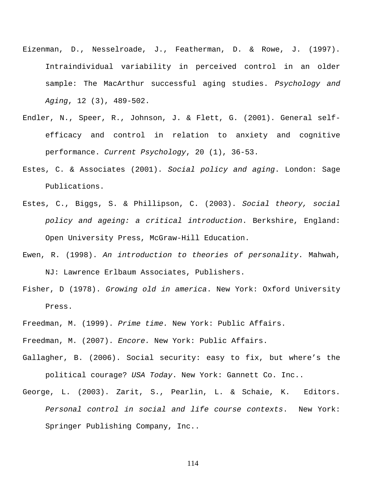- Eizenman, D., Nesselroade, J., Featherman, D. & Rowe, J. (1997). Intraindividual variability in perceived control in an older sample: The MacArthur successful aging studies. *Psychology and Aging*, 12 (3), 489-502.
- Endler, N., Speer, R., Johnson, J. & Flett, G. (2001). General selfefficacy and control in relation to anxiety and cognitive performance. *Current Psychology*, 20 (1), 36-53.
- Estes, C. & Associates (2001). *Social policy and aging*. London: Sage Publications.
- Estes, C., Biggs, S. & Phillipson, C. (2003). *Social theory, social policy and ageing: a critical introduction*. Berkshire, England: Open University Press, McGraw-Hill Education.
- Ewen, R. (1998). *An introduction to theories of personality*. Mahwah, NJ: Lawrence Erlbaum Associates, Publishers.
- Fisher, D (1978). *Growing old in america*. New York: Oxford University Press.
- Freedman, M. (1999). *Prime time.* New York: Public Affairs.
- Freedman, M. (2007). *Encore.* New York: Public Affairs.
- Gallagher, B. (2006). Social security: easy to fix, but where's the political courage? *USA Today*. New York: Gannett Co. Inc..
- George, L. (2003). Zarit, S., Pearlin, L. & Schaie, K. Editors. *Personal control in social and life course contexts*. New York: Springer Publishing Company, Inc..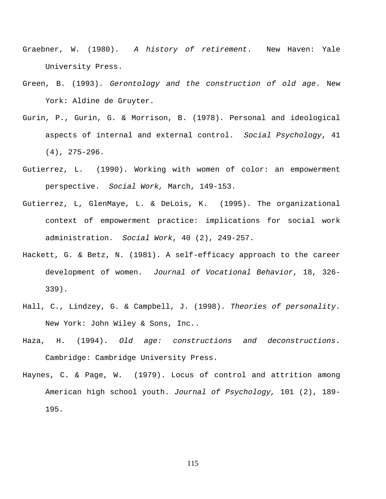- Graebner, W. (1980). *A history of retirement*. New Haven: Yale University Press.
- Green, B. (1993). *Gerontology and the construction of old age*. New York: Aldine de Gruyter.
- Gurin, P., Gurin, G. & Morrison, B. (1978). Personal and ideological aspects of internal and external control. *Social Psychology*, 41 (4), 275-296.
- Gutierrez, L. (1990). Working with women of color: an empowerment perspective. *Social Work,* March, 149-153.
- Gutierrez, L, GlenMaye, L. & DeLois, K. (1995). The organizational context of empowerment practice: implications for social work administration. *Social Work*, 40 (2), 249-257.
- Hackett, G. & Betz, N. (1981). A self-efficacy approach to the career development of women. *Journal of Vocational Behavior*, 18, 326- 339).
- Hall, C., Lindzey, G. & Campbell, J. (1998). *Theories of personality*. New York: John Wiley & Sons, Inc..
- Haza, H. (1994). *Old age: constructions and deconstructions*. Cambridge: Cambridge University Press.
- Haynes, C. & Page, W. (1979). Locus of control and attrition among American high school youth. *Journal of Psychology,* 101 (2), 189- 195.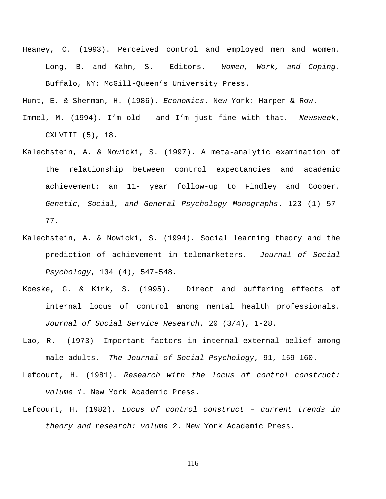Heaney, C. (1993). Perceived control and employed men and women. Long, B. and Kahn, S. Editors. *Women, Work, and Coping*. Buffalo, NY: McGill-Queen's University Press.

Hunt, E. & Sherman, H. (1986). *Economics*. New York: Harper & Row.

- Immel, M. (1994). I'm old and I'm just fine with that*. Newsweek*, CXLVIII (5), 18.
- Kalechstein, A. & Nowicki, S. (1997). A meta-analytic examination of the relationship between control expectancies and academic achievement: an 11- year follow-up to Findley and Cooper. *Genetic, Social, and General Psychology Monographs*. 123 (1) 57- 77.
- Kalechstein, A. & Nowicki, S. (1994). Social learning theory and the prediction of achievement in telemarketers*. Journal of Social Psychology*, 134 (4), 547-548.
- Koeske, G. & Kirk, S. (1995). Direct and buffering effects of internal locus of control among mental health professionals. *Journal of Social Service Research*, 20 (3/4), 1-28.
- Lao, R. (1973). Important factors in internal-external belief among male adults. *The Journal of Social Psychology*, 91, 159-160.
- Lefcourt, H. (1981). *Research with the locus of control construct: volume 1*. New York Academic Press.
- Lefcourt, H. (1982). *Locus of control construct current trends in theory and research: volume 2*. New York Academic Press.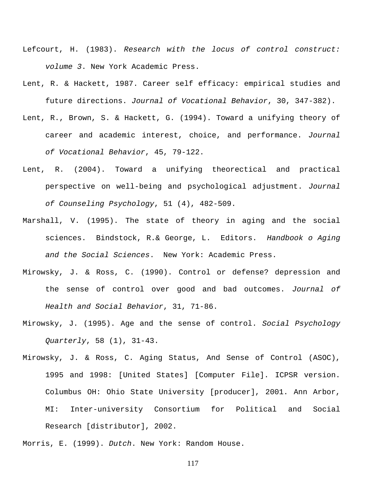- Lefcourt, H. (1983). *Research with the locus of control construct: volume 3*. New York Academic Press.
- Lent, R. & Hackett, 1987. Career self efficacy: empirical studies and future directions. *Journal of Vocational Behavior*, 30, 347-382).
- Lent, R., Brown, S. & Hackett, G. (1994). Toward a unifying theory of career and academic interest, choice, and performance. *Journal of Vocational Behavior*, 45, 79-122.
- Lent, R. (2004). Toward a unifying theorectical and practical perspective on well-being and psychological adjustment. *Journal of Counseling Psychology*, 51 (4), 482-509.
- Marshall, V. (1995). The state of theory in aging and the social sciences. Bindstock, R.& George, L. Editors. *Handbook o Aging and the Social Sciences*. New York: Academic Press.
- Mirowsky, J. & Ross, C. (1990). Control or defense? depression and the sense of control over good and bad outcomes. *Journal of Health and Social Behavior*, 31, 71-86.
- Mirowsky, J. (1995). Age and the sense of control. *Social Psychology Quarterly*, 58 (1), 31-43.
- Mirowsky, J. & Ross, C. Aging Status, And Sense of Control (ASOC), 1995 and 1998: [United States] [Computer File]. ICPSR version. Columbus OH: Ohio State University [producer], 2001. Ann Arbor, MI: Inter-university Consortium for Political and Social Research [distributor], 2002.
- Morris, E. (1999). *Dutch*. New York: Random House.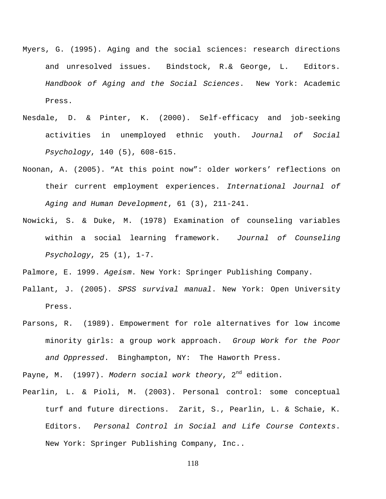- Myers, G. (1995). Aging and the social sciences: research directions and unresolved issues. Bindstock, R.& George, L. Editors. *Handbook of Aging and the Social Sciences*. New York: Academic Press.
- Nesdale, D. & Pinter, K. (2000). Self-efficacy and job-seeking activities in unemployed ethnic youth. *Journal of Social Psychology*, 140 (5), 608-615.
- Noonan, A. (2005). "At this point now": older workers' reflections on their current employment experiences. *International Journal of Aging and Human Development*, 61 (3), 211-241.
- Nowicki, S. & Duke, M. (1978) Examination of counseling variables within a social learning framework. *Journal of Counseling Psychology*, 25 (1), 1-7.

Palmore, E. 1999. *Ageism*. New York: Springer Publishing Company.

- Pallant, J. (2005). *SPSS survival manual*. New York: Open University Press.
- Parsons, R. (1989). Empowerment for role alternatives for low income minority girls: a group work approach. *Group Work for the Poor and Oppressed*. Binghampton, NY: The Haworth Press.

Payne, M. (1997). *Modern social work theory*, 2nd edition.

Pearlin, L. & Pioli, M. (2003). Personal control: some conceptual turf and future directions. Zarit, S., Pearlin, L. & Schaie, K. Editors. *Personal Control in Social and Life Course Contexts*. New York: Springer Publishing Company, Inc..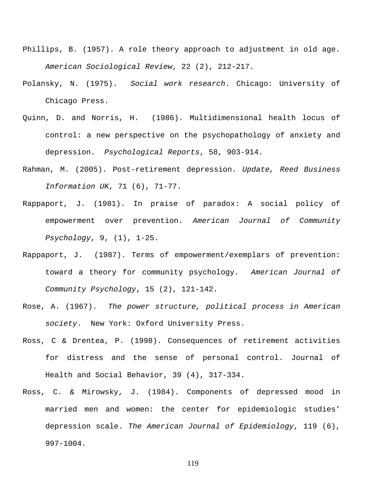- Phillips, B. (1957). A role theory approach to adjustment in old age. *American Sociological Review*, 22 (2), 212-217.
- Polansky, N. (1975). *Social work research*. Chicago: University of Chicago Press.
- Quinn, D. and Norris, H. (1986). Multidimensional health locus of control: a new perspective on the psychopathology of anxiety and depression. *Psychological Reports*, 58, 903-914.
- Rahman, M. (2005). Post-retirement depression. *Update, Reed Business Information UK*, 71 (6), 71-77.
- Rappaport, J. (1981). In praise of paradox: A social policy of empowerment over prevention. *American Journal of Community Psychology*, 9, (1), 1-25.
- Rappaport, J. (1987). Terms of empowerment/exemplars of prevention: toward a theory for community psychology. *American Journal of Community Psychology*, 15 (2), 121-142.
- Rose, A. (1967). *The power structure, political process in American society*. New York: Oxford University Press.
- Ross, C & Drentea, P. (1998). Consequences of retirement activities for distress and the sense of personal control. Journal of Health and Social Behavior, 39 (4), 317-334.
- Ross, C. & Mirowsky, J. (1984). Components of depressed mood in married men and women: the center for epidemiologic studies' depression scale. *The American Journal of Epidemiology*, 119 (6), 997-1004.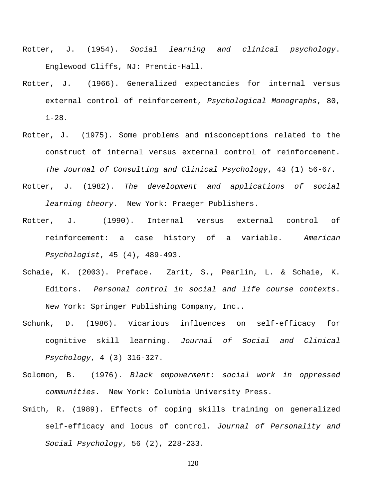- Rotter, J. (1954). *Social learning and clinical psychology*. Englewood Cliffs, NJ: Prentic-Hall.
- Rotter, J. (1966). Generalized expectancies for internal versus external control of reinforcement, *Psychological Monographs*, 80, 1-28.
- Rotter, J. (1975). Some problems and misconceptions related to the construct of internal versus external control of reinforcement. *The Journal of Consulting and Clinical Psychology*, 43 (1) 56-67.
- Rotter, J. (1982). *The development and applications of social learning theory*. New York: Praeger Publishers.
- Rotter, J. (1990). Internal versus external control of reinforcement: a case history of a variable. *American Psychologist*, 45 (4), 489-493.
- Schaie, K. (2003). Preface. Zarit, S., Pearlin, L. & Schaie, K. Editors. *Personal control in social and life course contexts*. New York: Springer Publishing Company, Inc..
- Schunk, D. (1986). Vicarious influences on self-efficacy for cognitive skill learning. *Journal of Social and Clinical Psychology*, 4 (3) 316-327.
- Solomon, B. (1976). *Black empowerment: social work in oppressed communities*. New York: Columbia University Press.
- Smith, R. (1989). Effects of coping skills training on generalized self-efficacy and locus of control. *Journal of Personality and Social Psychology*, 56 (2), 228-233.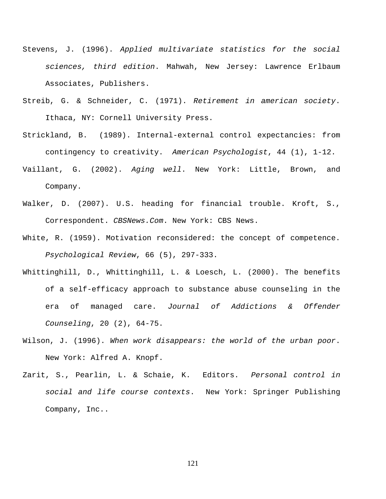- Stevens, J. (1996). *Applied multivariate statistics for the social sciences, third edition*. Mahwah, New Jersey: Lawrence Erlbaum Associates, Publishers.
- Streib, G. & Schneider, C. (1971). *Retirement in american society*. Ithaca, NY: Cornell University Press.
- Strickland, B. (1989). Internal-external control expectancies: from contingency to creativity. *American Psychologist*, 44 (1), 1-12.
- Vaillant, G. (2002). *Aging well*. New York: Little, Brown, and Company.
- Walker, D. (2007). U.S. heading for financial trouble. Kroft, S., Correspondent. *CBSNews.Com*. New York: CBS News.
- White, R. (1959). Motivation reconsidered: the concept of competence. *Psychological Review*, 66 (5), 297-333.
- Whittinghill, D., Whittinghill, L. & Loesch, L. (2000). The benefits of a self-efficacy approach to substance abuse counseling in the era of managed care. *Journal of Addictions & Offender Counseling*, 20 (2), 64-75.
- Wilson, J. (1996). *When work disappears: the world of the urban poor*. New York: Alfred A. Knopf.
- Zarit, S., Pearlin, L. & Schaie, K. Editors. *Personal control in social and life course contexts*. New York: Springer Publishing Company, Inc..